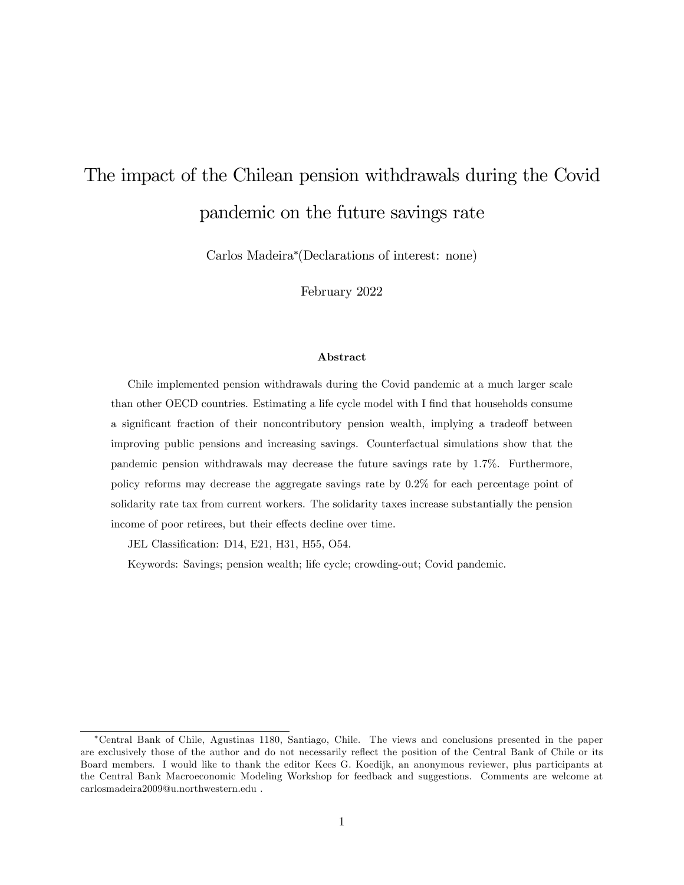# The impact of the Chilean pension withdrawals during the Covid pandemic on the future savings rate

Carlos Madeira (Declarations of interest: none)

February 2022

#### Abstract

Chile implemented pension withdrawals during the Covid pandemic at a much larger scale than other OECD countries. Estimating a life cycle model with I find that households consume a significant fraction of their noncontributory pension wealth, implying a tradeoff between improving public pensions and increasing savings. Counterfactual simulations show that the pandemic pension withdrawals may decrease the future savings rate by 1.7%. Furthermore, policy reforms may decrease the aggregate savings rate by 0.2% for each percentage point of solidarity rate tax from current workers. The solidarity taxes increase substantially the pension income of poor retirees, but their effects decline over time.

JEL Classification: D14, E21, H31, H55, O54.

Keywords: Savings; pension wealth; life cycle; crowding-out; Covid pandemic.

Central Bank of Chile, Agustinas 1180, Santiago, Chile. The views and conclusions presented in the paper are exclusively those of the author and do not necessarily reflect the position of the Central Bank of Chile or its Board members. I would like to thank the editor Kees G. Koedijk, an anonymous reviewer, plus participants at the Central Bank Macroeconomic Modeling Workshop for feedback and suggestions. Comments are welcome at carlosmadeira2009@u.northwestern.edu .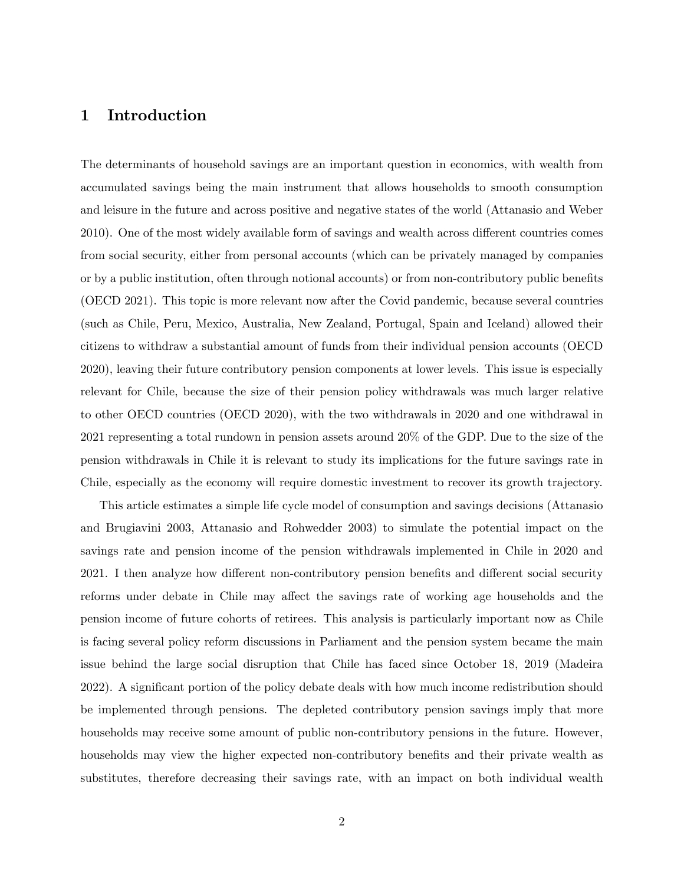# 1 Introduction

The determinants of household savings are an important question in economics, with wealth from accumulated savings being the main instrument that allows households to smooth consumption and leisure in the future and across positive and negative states of the world (Attanasio and Weber 2010). One of the most widely available form of savings and wealth across different countries comes from social security, either from personal accounts (which can be privately managed by companies or by a public institution, often through notional accounts) or from non-contributory public benefits (OECD 2021). This topic is more relevant now after the Covid pandemic, because several countries (such as Chile, Peru, Mexico, Australia, New Zealand, Portugal, Spain and Iceland) allowed their citizens to withdraw a substantial amount of funds from their individual pension accounts (OECD 2020), leaving their future contributory pension components at lower levels. This issue is especially relevant for Chile, because the size of their pension policy withdrawals was much larger relative to other OECD countries (OECD 2020), with the two withdrawals in 2020 and one withdrawal in 2021 representing a total rundown in pension assets around 20% of the GDP. Due to the size of the pension withdrawals in Chile it is relevant to study its implications for the future savings rate in Chile, especially as the economy will require domestic investment to recover its growth trajectory.

This article estimates a simple life cycle model of consumption and savings decisions (Attanasio and Brugiavini 2003, Attanasio and Rohwedder 2003) to simulate the potential impact on the savings rate and pension income of the pension withdrawals implemented in Chile in 2020 and 2021. I then analyze how different non-contributory pension benefits and different social security reforms under debate in Chile may affect the savings rate of working age households and the pension income of future cohorts of retirees. This analysis is particularly important now as Chile is facing several policy reform discussions in Parliament and the pension system became the main issue behind the large social disruption that Chile has faced since October 18, 2019 (Madeira 2022). A significant portion of the policy debate deals with how much income redistribution should be implemented through pensions. The depleted contributory pension savings imply that more households may receive some amount of public non-contributory pensions in the future. However, households may view the higher expected non-contributory benefits and their private wealth as substitutes, therefore decreasing their savings rate, with an impact on both individual wealth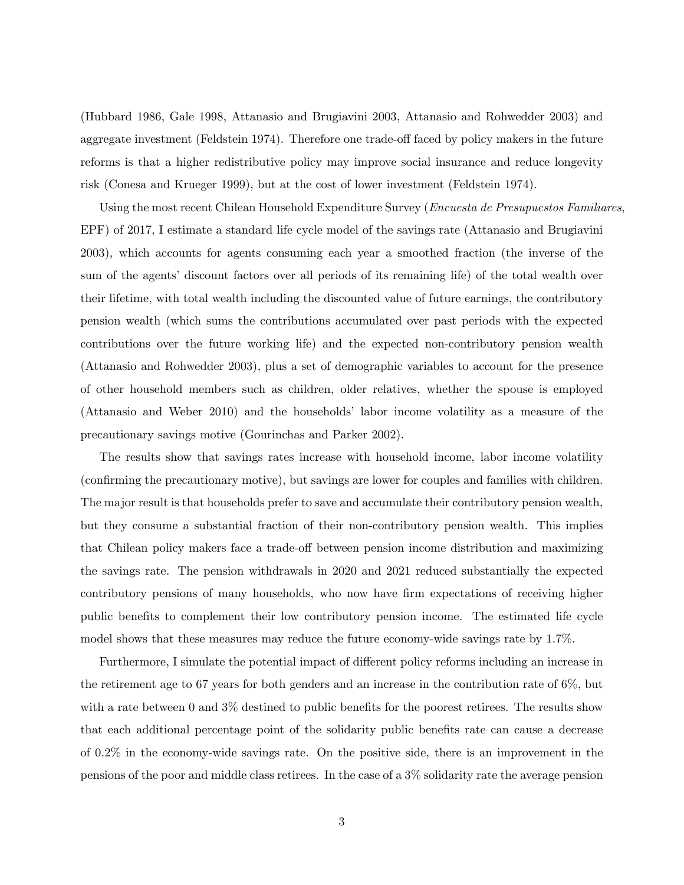(Hubbard 1986, Gale 1998, Attanasio and Brugiavini 2003, Attanasio and Rohwedder 2003) and aggregate investment (Feldstein 1974). Therefore one trade-off faced by policy makers in the future reforms is that a higher redistributive policy may improve social insurance and reduce longevity risk (Conesa and Krueger 1999), but at the cost of lower investment (Feldstein 1974).

Using the most recent Chilean Household Expenditure Survey (*Encuesta de Presupuestos Familiares*, EPF) of 2017, I estimate a standard life cycle model of the savings rate (Attanasio and Brugiavini 2003), which accounts for agents consuming each year a smoothed fraction (the inverse of the sum of the agents' discount factors over all periods of its remaining life) of the total wealth over their lifetime, with total wealth including the discounted value of future earnings, the contributory pension wealth (which sums the contributions accumulated over past periods with the expected contributions over the future working life) and the expected non-contributory pension wealth (Attanasio and Rohwedder 2003), plus a set of demographic variables to account for the presence of other household members such as children, older relatives, whether the spouse is employed (Attanasio and Weber 2010) and the households' labor income volatility as a measure of the precautionary savings motive (Gourinchas and Parker 2002).

The results show that savings rates increase with household income, labor income volatility (conÖrming the precautionary motive), but savings are lower for couples and families with children. The major result is that households prefer to save and accumulate their contributory pension wealth, but they consume a substantial fraction of their non-contributory pension wealth. This implies that Chilean policy makers face a trade-off between pension income distribution and maximizing the savings rate. The pension withdrawals in 2020 and 2021 reduced substantially the expected contributory pensions of many households, who now have firm expectations of receiving higher public benefits to complement their low contributory pension income. The estimated life cycle model shows that these measures may reduce the future economy-wide savings rate by 1.7%.

Furthermore, I simulate the potential impact of different policy reforms including an increase in the retirement age to 67 years for both genders and an increase in the contribution rate of 6%, but with a rate between 0 and  $3\%$  destined to public benefits for the poorest retirees. The results show that each additional percentage point of the solidarity public benefits rate can cause a decrease of 0.2% in the economy-wide savings rate. On the positive side, there is an improvement in the pensions of the poor and middle class retirees. In the case of a 3% solidarity rate the average pension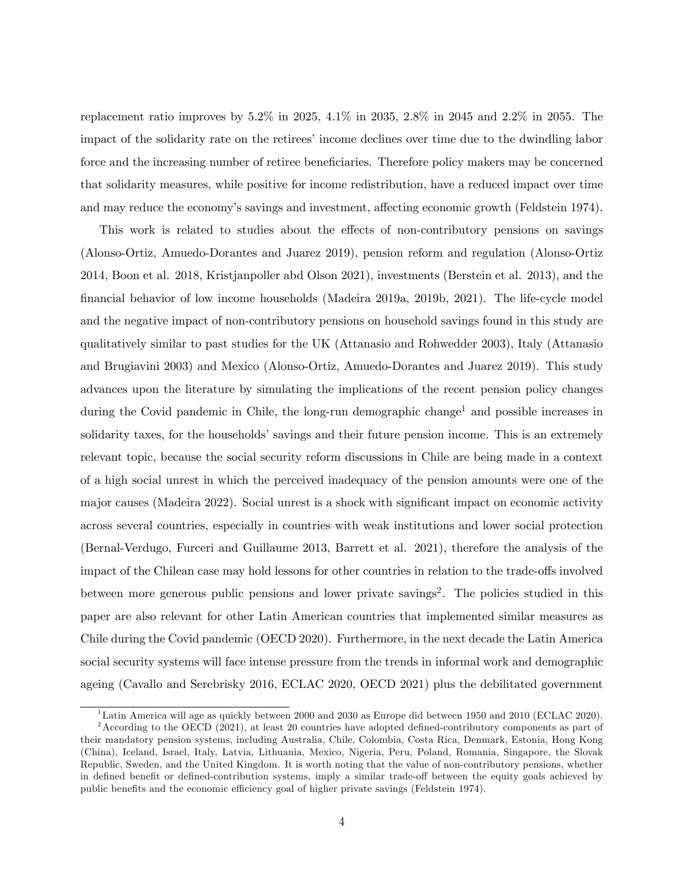replacement ratio improves by 5.2% in 2025, 4.1% in 2035, 2.8% in 2045 and 2.2% in 2055. The impact of the solidarity rate on the retirees' income declines over time due to the dwindling labor force and the increasing number of retiree beneficiaries. Therefore policy makers may be concerned that solidarity measures, while positive for income redistribution, have a reduced impact over time and may reduce the economy's savings and investment, affecting economic growth (Feldstein 1974).

This work is related to studies about the effects of non-contributory pensions on savings (Alonso-Ortiz, Amuedo-Dorantes and Juarez 2019), pension reform and regulation (Alonso-Ortiz 2014, Boon et al. 2018, Kristjanpoller abd Olson 2021), investments (Berstein et al. 2013), and the Önancial behavior of low income households (Madeira 2019a, 2019b, 2021). The life-cycle model and the negative impact of non-contributory pensions on household savings found in this study are qualitatively similar to past studies for the UK (Attanasio and Rohwedder 2003), Italy (Attanasio and Brugiavini 2003) and Mexico (Alonso-Ortiz, Amuedo-Dorantes and Juarez 2019). This study advances upon the literature by simulating the implications of the recent pension policy changes during the Covid pandemic in Chile, the long-run demographic change<sup>1</sup> and possible increases in solidarity taxes, for the households' savings and their future pension income. This is an extremely relevant topic, because the social security reform discussions in Chile are being made in a context of a high social unrest in which the perceived inadequacy of the pension amounts were one of the major causes (Madeira 2022). Social unrest is a shock with significant impact on economic activity across several countries, especially in countries with weak institutions and lower social protection (Bernal-Verdugo, Furceri and Guillaume 2013, Barrett et al. 2021), therefore the analysis of the impact of the Chilean case may hold lessons for other countries in relation to the trade-offs involved between more generous public pensions and lower private savings<sup>2</sup>. The policies studied in this paper are also relevant for other Latin American countries that implemented similar measures as Chile during the Covid pandemic (OECD 2020). Furthermore, in the next decade the Latin America social security systems will face intense pressure from the trends in informal work and demographic ageing (Cavallo and Serebrisky 2016, ECLAC 2020, OECD 2021) plus the debilitated government

<sup>&</sup>lt;sup>1</sup>Latin America will age as quickly between 2000 and 2030 as Europe did between 1950 and 2010 (ECLAC 2020).  $2$ According to the OECD (2021), at least 20 countries have adopted defined-contributory components as part of their mandatory pension systems, including Australia, Chile, Colombia, Costa Rica, Denmark, Estonia, Hong Kong (China), Iceland, Israel, Italy, Latvia, Lithuania, Mexico, Nigeria, Peru, Poland, Romania, Singapore, the Slovak Republic, Sweden, and the United Kingdom. It is worth noting that the value of non-contributory pensions, whether in defined benefit or defined-contribution systems, imply a similar trade-off between the equity goals achieved by public benefits and the economic efficiency goal of higher private savings (Feldstein 1974).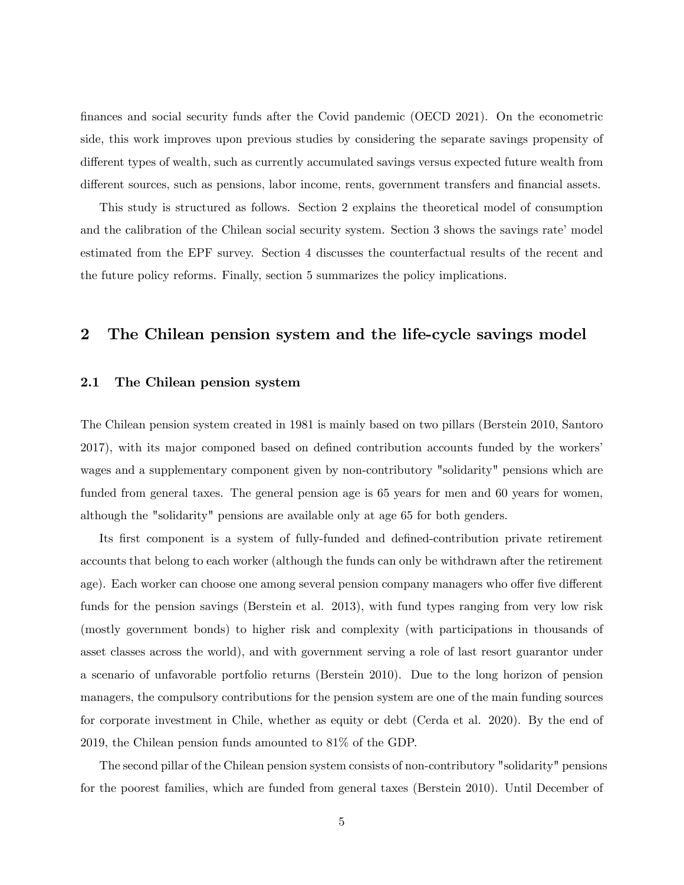finances and social security funds after the Covid pandemic (OECD 2021). On the econometric side, this work improves upon previous studies by considering the separate savings propensity of different types of wealth, such as currently accumulated savings versus expected future wealth from different sources, such as pensions, labor income, rents, government transfers and financial assets.

This study is structured as follows. Section 2 explains the theoretical model of consumption and the calibration of the Chilean social security system. Section 3 shows the savings rate' model estimated from the EPF survey. Section 4 discusses the counterfactual results of the recent and the future policy reforms. Finally, section 5 summarizes the policy implications.

## 2 The Chilean pension system and the life-cycle savings model

## 2.1 The Chilean pension system

The Chilean pension system created in 1981 is mainly based on two pillars (Berstein 2010, Santoro 2017), with its major componed based on defined contribution accounts funded by the workers wages and a supplementary component given by non-contributory "solidarity" pensions which are funded from general taxes. The general pension age is 65 years for men and 60 years for women, although the "solidarity" pensions are available only at age 65 for both genders.

Its first component is a system of fully-funded and defined-contribution private retirement accounts that belong to each worker (although the funds can only be withdrawn after the retirement age). Each worker can choose one among several pension company managers who offer five different funds for the pension savings (Berstein et al. 2013), with fund types ranging from very low risk (mostly government bonds) to higher risk and complexity (with participations in thousands of asset classes across the world), and with government serving a role of last resort guarantor under a scenario of unfavorable portfolio returns (Berstein 2010). Due to the long horizon of pension managers, the compulsory contributions for the pension system are one of the main funding sources for corporate investment in Chile, whether as equity or debt (Cerda et al. 2020). By the end of 2019, the Chilean pension funds amounted to 81% of the GDP.

The second pillar of the Chilean pension system consists of non-contributory "solidarity" pensions for the poorest families, which are funded from general taxes (Berstein 2010). Until December of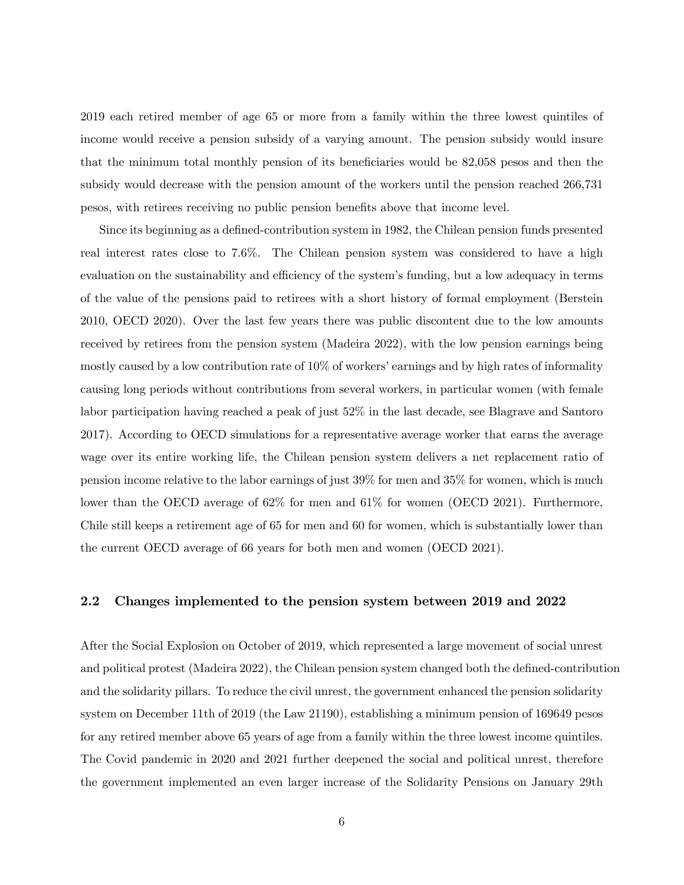2019 each retired member of age 65 or more from a family within the three lowest quintiles of income would receive a pension subsidy of a varying amount. The pension subsidy would insure that the minimum total monthly pension of its beneficiaries would be  $82,058$  pesos and then the subsidy would decrease with the pension amount of the workers until the pension reached 266,731 pesos, with retirees receiving no public pension beneÖts above that income level.

Since its beginning as a defined-contribution system in 1982, the Chilean pension funds presented real interest rates close to 7.6%. The Chilean pension system was considered to have a high evaluation on the sustainability and efficiency of the system's funding, but a low adequacy in terms of the value of the pensions paid to retirees with a short history of formal employment (Berstein 2010, OECD 2020). Over the last few years there was public discontent due to the low amounts received by retirees from the pension system (Madeira 2022), with the low pension earnings being mostly caused by a low contribution rate of  $10\%$  of workers' earnings and by high rates of informality causing long periods without contributions from several workers, in particular women (with female labor participation having reached a peak of just 52% in the last decade, see Blagrave and Santoro 2017). According to OECD simulations for a representative average worker that earns the average wage over its entire working life, the Chilean pension system delivers a net replacement ratio of pension income relative to the labor earnings of just 39% for men and 35% for women, which is much lower than the OECD average of 62% for men and 61% for women (OECD 2021). Furthermore, Chile still keeps a retirement age of 65 for men and 60 for women, which is substantially lower than the current OECD average of 66 years for both men and women (OECD 2021).

## 2.2 Changes implemented to the pension system between 2019 and 2022

After the Social Explosion on October of 2019, which represented a large movement of social unrest and political protest (Madeira 2022), the Chilean pension system changed both the defined-contribution and the solidarity pillars. To reduce the civil unrest, the government enhanced the pension solidarity system on December 11th of 2019 (the Law 21190), establishing a minimum pension of 169649 pesos for any retired member above 65 years of age from a family within the three lowest income quintiles. The Covid pandemic in 2020 and 2021 further deepened the social and political unrest, therefore the government implemented an even larger increase of the Solidarity Pensions on January 29th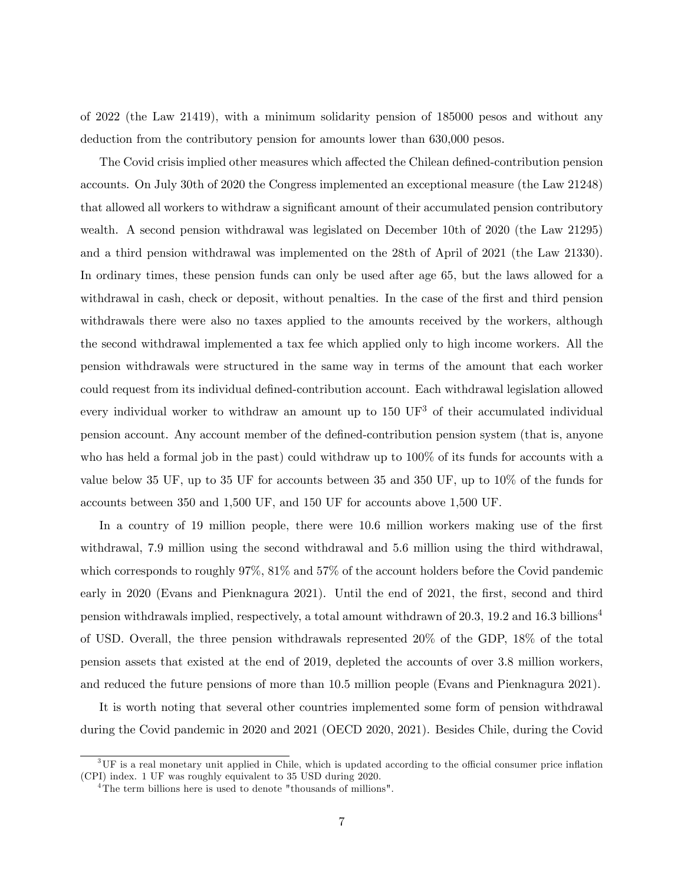of 2022 (the Law 21419), with a minimum solidarity pension of 185000 pesos and without any deduction from the contributory pension for amounts lower than 630,000 pesos.

The Covid crisis implied other measures which affected the Chilean defined-contribution pension accounts. On July 30th of 2020 the Congress implemented an exceptional measure (the Law 21248) that allowed all workers to withdraw a significant amount of their accumulated pension contributory wealth. A second pension withdrawal was legislated on December 10th of 2020 (the Law 21295) and a third pension withdrawal was implemented on the 28th of April of 2021 (the Law 21330). In ordinary times, these pension funds can only be used after age 65, but the laws allowed for a withdrawal in cash, check or deposit, without penalties. In the case of the first and third pension withdrawals there were also no taxes applied to the amounts received by the workers, although the second withdrawal implemented a tax fee which applied only to high income workers. All the pension withdrawals were structured in the same way in terms of the amount that each worker could request from its individual defined-contribution account. Each withdrawal legislation allowed every individual worker to withdraw an amount up to  $150 \text{ UF}^3$  of their accumulated individual pension account. Any account member of the defined-contribution pension system (that is, anyone who has held a formal job in the past) could withdraw up to 100% of its funds for accounts with a value below 35 UF, up to 35 UF for accounts between 35 and 350 UF, up to 10% of the funds for accounts between 350 and 1,500 UF, and 150 UF for accounts above 1,500 UF.

In a country of 19 million people, there were 10.6 million workers making use of the first withdrawal, 7.9 million using the second withdrawal and 5.6 million using the third withdrawal, which corresponds to roughly 97%, 81% and 57% of the account holders before the Covid pandemic early in 2020 (Evans and Pienknagura 2021). Until the end of 2021, the first, second and third pension withdrawals implied, respectively, a total amount withdrawn of 20.3, 19.2 and 16.3 billions<sup>4</sup> of USD. Overall, the three pension withdrawals represented 20% of the GDP, 18% of the total pension assets that existed at the end of 2019, depleted the accounts of over 3.8 million workers, and reduced the future pensions of more than 10.5 million people (Evans and Pienknagura 2021).

It is worth noting that several other countries implemented some form of pension withdrawal during the Covid pandemic in 2020 and 2021 (OECD 2020, 2021). Besides Chile, during the Covid

 $3$ UF is a real monetary unit applied in Chile, which is updated according to the official consumer price inflation (CPI) index. 1 UF was roughly equivalent to 35 USD during 2020.

<sup>&</sup>lt;sup>4</sup>The term billions here is used to denote "thousands of millions".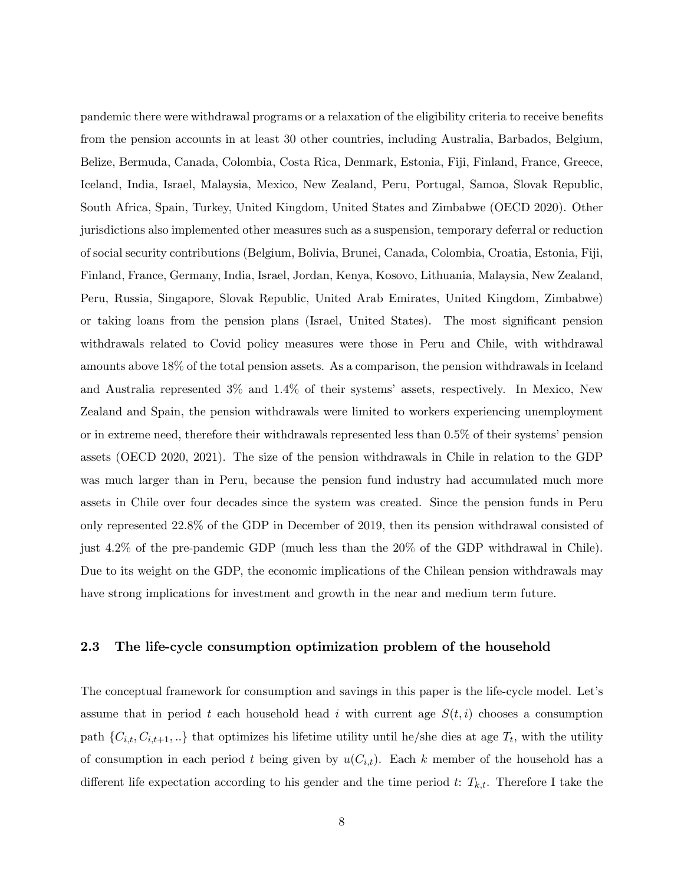pandemic there were withdrawal programs or a relaxation of the eligibility criteria to receive benefits from the pension accounts in at least 30 other countries, including Australia, Barbados, Belgium, Belize, Bermuda, Canada, Colombia, Costa Rica, Denmark, Estonia, Fiji, Finland, France, Greece, Iceland, India, Israel, Malaysia, Mexico, New Zealand, Peru, Portugal, Samoa, Slovak Republic, South Africa, Spain, Turkey, United Kingdom, United States and Zimbabwe (OECD 2020). Other jurisdictions also implemented other measures such as a suspension, temporary deferral or reduction of social security contributions (Belgium, Bolivia, Brunei, Canada, Colombia, Croatia, Estonia, Fiji, Finland, France, Germany, India, Israel, Jordan, Kenya, Kosovo, Lithuania, Malaysia, New Zealand, Peru, Russia, Singapore, Slovak Republic, United Arab Emirates, United Kingdom, Zimbabwe) or taking loans from the pension plans (Israel, United States). The most significant pension withdrawals related to Covid policy measures were those in Peru and Chile, with withdrawal amounts above 18% of the total pension assets. As a comparison, the pension withdrawals in Iceland and Australia represented 3% and 1.4% of their systems' assets, respectively. In Mexico, New Zealand and Spain, the pension withdrawals were limited to workers experiencing unemployment or in extreme need, therefore their withdrawals represented less than  $0.5\%$  of their systems' pension assets (OECD 2020, 2021). The size of the pension withdrawals in Chile in relation to the GDP was much larger than in Peru, because the pension fund industry had accumulated much more assets in Chile over four decades since the system was created. Since the pension funds in Peru only represented 22.8% of the GDP in December of 2019, then its pension withdrawal consisted of just 4.2% of the pre-pandemic GDP (much less than the 20% of the GDP withdrawal in Chile). Due to its weight on the GDP, the economic implications of the Chilean pension withdrawals may have strong implications for investment and growth in the near and medium term future.

#### 2.3 The life-cycle consumption optimization problem of the household

The conceptual framework for consumption and savings in this paper is the life-cycle model. Let's assume that in period t each household head i with current age  $S(t, i)$  chooses a consumption path  $\{C_{i,t}, C_{i,t+1}, ...\}$  that optimizes his lifetime utility until he/she dies at age  $T_t$ , with the utility of consumption in each period t being given by  $u(C_{i,t})$ . Each k member of the household has a different life expectation according to his gender and the time period t:  $T_{k,t}$ . Therefore I take the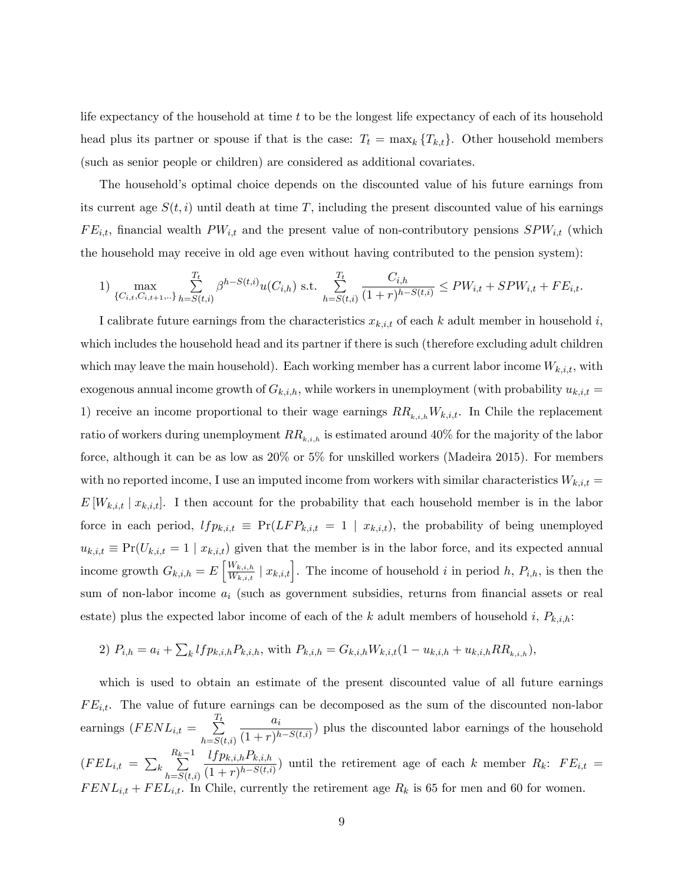life expectancy of the household at time  $t$  to be the longest life expectancy of each of its household head plus its partner or spouse if that is the case:  $T_t = \max_k \{T_{k,t}\}.$  Other household members (such as senior people or children) are considered as additional covariates.

The household's optimal choice depends on the discounted value of his future earnings from its current age  $S(t, i)$  until death at time T, including the present discounted value of his earnings  $FE_{i,t}$ , financial wealth  $PW_{i,t}$  and the present value of non-contributory pensions  $SPW_{i,t}$  (which the household may receive in old age even without having contributed to the pension system):

1) 
$$
\max_{\{C_{i,t}, C_{i,t+1}, \ldots\}} \sum_{h=S(t,i)}^{T_t} \beta^{h-S(t,i)} u(C_{i,h}) \text{ s.t. } \sum_{h=S(t,i)}^{T_t} \frac{C_{i,h}}{(1+r)^{h-S(t,i)}} \le PW_{i,t} + SPW_{i,t} + FE_{i,t}.
$$

I calibrate future earnings from the characteristics  $x_{k,i,t}$  of each k adult member in household i, which includes the household head and its partner if there is such (therefore excluding adult children which may leave the main household). Each working member has a current labor income  $W_{k,i,t}$ , with exogenous annual income growth of  $G_{k,i,h}$ , while workers in unemployment (with probability  $u_{k,i,t} =$ 1) receive an income proportional to their wage earnings  $RR_{k,i,h}W_{k,i,t}$ . In Chile the replacement ratio of workers during unemployment  $RR_{k,i,h}$  is estimated around 40% for the majority of the labor force, although it can be as low as 20% or 5% for unskilled workers (Madeira 2015). For members with no reported income, I use an imputed income from workers with similar characteristics  $W_{k,i,t} =$  $E[W_{k,i,t} | x_{k,i,t}]$ . I then account for the probability that each household member is in the labor force in each period,  $lfp_{k,i,t} \equiv Pr(LFP_{k,i,t} = 1 \mid x_{k,i,t})$ , the probability of being unemployed  $u_{k,i,t} \equiv \Pr(U_{k,i,t} = 1 \mid x_{k,i,t})$  given that the member is in the labor force, and its expected annual income growth  $G_{k,i,h} = E\left[\frac{W_{k,i,h}}{W_{k,i,h}}\right]$  $\frac{W_{k,i,h}}{W_{k,i,t}} \mid x_{k,i,t}$ . The income of household i in period h,  $P_{i,h}$ , is then the sum of non-labor income  $a_i$  (such as government subsidies, returns from financial assets or real estate) plus the expected labor income of each of the k adult members of household i,  $P_{k,i,h}$ :

2) 
$$
P_{i,h} = a_i + \sum_k lfp_{k,i,h}P_{k,i,h}
$$
, with  $P_{k,i,h} = G_{k,i,h}W_{k,i,t}(1 - u_{k,i,h} + u_{k,i,h}RR_{k,i,h}),$ 

which is used to obtain an estimate of the present discounted value of all future earnings  $FE_{i,t}$ . The value of future earnings can be decomposed as the sum of the discounted non-labor earnings  $(FENL_{i,t} = \sum_{i=1}^{T_t}$  $h = S(t,i)$  $a_i$  $\frac{d}{(1+r)^{h-S(t,i)}}$  plus the discounted labor earnings of the household  $(FEL_{i,t} = \sum_{k=1}^{n}$  $\sum_{k=1}^{R_k-1}$  $_{h=S(t,i)}$  $lfp_{k,i,h}P_{k,i,h}$  $\frac{(s_{f}F_{k,i,h}F_{k,i,h})}{(1+r)^{h-S(t,i)}}$  until the retirement age of each k member  $R_k$ :  $FE_{i,t}$  =  $FENL_{i,t} + FEL_{i,t}$ . In Chile, currently the retirement age  $R_k$  is 65 for men and 60 for women.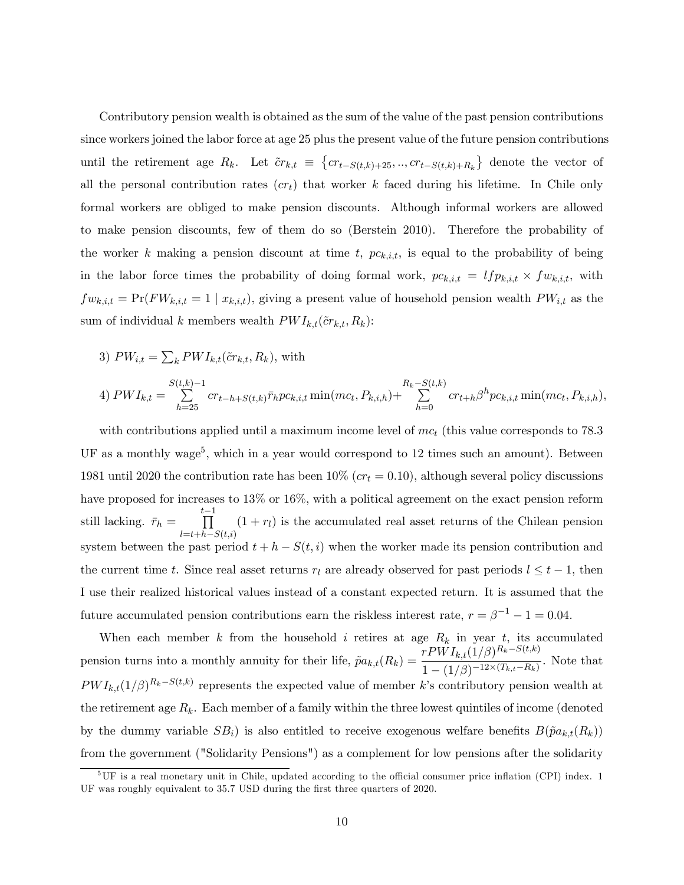Contributory pension wealth is obtained as the sum of the value of the past pension contributions since workers joined the labor force at age 25 plus the present value of the future pension contributions until the retirement age  $R_k$ . Let  $\tilde{c}r_{k,t} \equiv \{cr_{t-S(t,k)+25}, \ldots, cr_{t-S(t,k)+R_k}\}\$  denote the vector of all the personal contribution rates  $(cr_t)$  that worker k faced during his lifetime. In Chile only formal workers are obliged to make pension discounts. Although informal workers are allowed to make pension discounts, few of them do so (Berstein 2010). Therefore the probability of the worker k making a pension discount at time t,  $pc_{k,i,t}$ , is equal to the probability of being in the labor force times the probability of doing formal work,  $pc_{k,i,t} = lfp_{k,i,t} \times fw_{k,i,t}$ , with  $fw_{k,i,t} = \Pr(FW_{k,i,t} = 1 | x_{k,i,t}),$  giving a present value of household pension wealth  $PW_{i,t}$  as the sum of individual k members wealth  $PWI_{k,t}(\tilde{c}r_{k,t}, R_k)$ :

3)  $PW_{i,t} = \sum_{k} PWI_{k,t}(\tilde{c}r_{k,t}, R_k)$ , with

4) 
$$
PWI_{k,t} = \sum_{h=25}^{S(t,k)-1} cr_{t-h+S(t,k)} \bar{r}_h pc_{k,i,t} \min(mc_t, P_{k,i,h}) + \sum_{h=0}^{R_k-S(t,k)} cr_{t+h} \beta^h pc_{k,i,t} \min(mc_t, P_{k,i,h}),
$$

with contributions applied until a maximum income level of  $mc<sub>t</sub>$  (this value corresponds to 78.3) UF as a monthly wage<sup>5</sup>, which in a year would correspond to 12 times such an amount). Between 1981 until 2020 the contribution rate has been  $10\%$  ( $cr_t = 0.10$ ), although several policy discussions have proposed for increases to 13% or 16%, with a political agreement on the exact pension reform still lacking.  $\bar{r}_h =$  $\prod^{t-1}$  $l=t+h-S(t,i)$  $(1 + r_l)$  is the accumulated real asset returns of the Chilean pension system between the past period  $t + h - S(t, i)$  when the worker made its pension contribution and the current time t. Since real asset returns  $r_l$  are already observed for past periods  $l \leq t - 1$ , then I use their realized historical values instead of a constant expected return. It is assumed that the future accumulated pension contributions earn the riskless interest rate,  $r = \beta^{-1} - 1 = 0.04$ .

When each member k from the household i retires at age  $R_k$  in year t, its accumulated pension turns into a monthly annuity for their life,  $\tilde{p}a_{k,t}(R_k) = \frac{rPWI_{k,t}(1/\beta)^{R_k-S(t,k)}}{1-(1/\beta)-12\times (T_k-F_k)}$  $\frac{(1 + \sum_{k,l} (1)^{l})}{1 - (1/\beta)^{-12 \times (T_{k,t} - R_k)}}$ . Note that  $PWI_{k,t}(1/\beta)^{R_k-S(t,k)}$  represents the expected value of member k's contributory pension wealth at the retirement age  $R_k$ . Each member of a family within the three lowest quintiles of income (denoted by the dummy variable  $SB_i$ ) is also entitled to receive exogenous welfare benefits  $B(\tilde{p}a_{k,t}(R_k))$ from the government ("Solidarity Pensions") as a complement for low pensions after the solidarity

 $5\,\text{UF}$  is a real monetary unit in Chile, updated according to the official consumer price inflation (CPI) index. 1 UF was roughly equivalent to 35.7 USD during the first three quarters of 2020.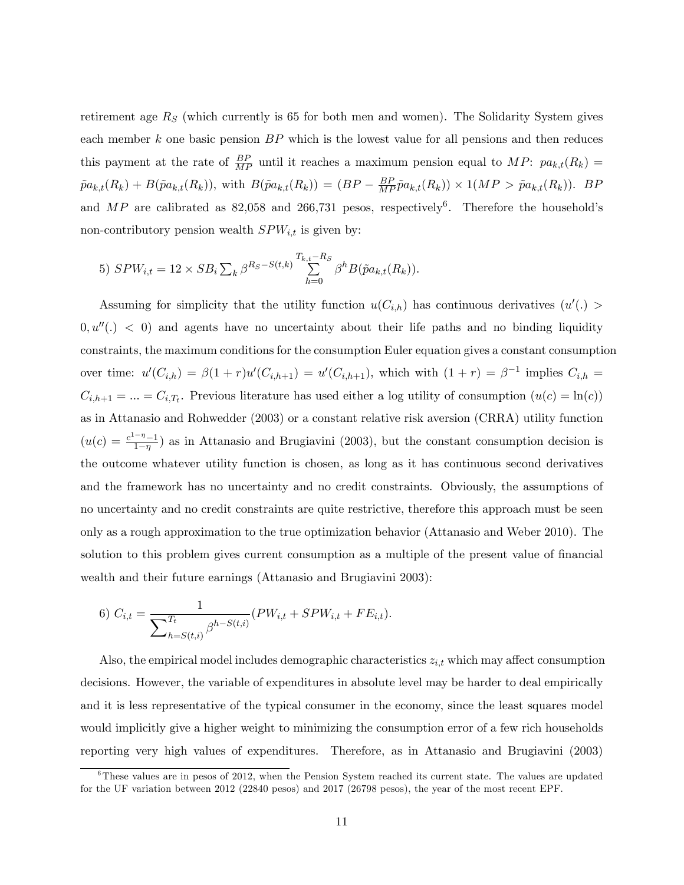retirement age  $R<sub>S</sub>$  (which currently is 65 for both men and women). The Solidarity System gives each member  $k$  one basic pension  $BP$  which is the lowest value for all pensions and then reduces this payment at the rate of  $\frac{BP}{MP}$  until it reaches a maximum pension equal to  $MP: pa_{k,t}(R_k)$  =  $\tilde{p}a_{k,t}(R_k) + B(\tilde{p}a_{k,t}(R_k))$ , with  $B(\tilde{p}a_{k,t}(R_k)) = (BP - \frac{BP}{MP}\tilde{p}a_{k,t}(R_k)) \times 1(MP > \tilde{p}a_{k,t}(R_k)).$  BF and MP are calibrated as 82,058 and 266,731 pesos, respectively<sup>6</sup>. Therefore the household's non-contributory pension wealth  $SPW_{i,t}$  is given by:

5) 
$$
SPW_{i,t} = 12 \times SB_i \sum_k \beta^{R_S - S(t,k)} \sum_{h=0}^{T_{k,t} - R_S} \beta^h B(\tilde{p}a_{k,t}(R_k)).
$$

Assuming for simplicity that the utility function  $u(C_{i,h})$  has continuous derivatives  $(u'(.)$  $0, u''(.) < 0$  and agents have no uncertainty about their life paths and no binding liquidity constraints, the maximum conditions for the consumption Euler equation gives a constant consumption over time:  $u'(C_{i,h}) = \beta(1+r)u'(C_{i,h+1}) = u'(C_{i,h+1})$ , which with  $(1+r) = \beta^{-1}$  implies  $C_{i,h}$  $C_{i,h+1} = ... = C_{i,T_t}$ . Previous literature has used either a log utility of consumption  $(u(c) = \ln(c))$ as in Attanasio and Rohwedder (2003) or a constant relative risk aversion (CRRA) utility function  $(u(c) = \frac{c^{1-\eta}-1}{1-\eta})$  $\frac{1-\eta-1}{1-\eta}$  as in Attanasio and Brugiavini (2003), but the constant consumption decision is the outcome whatever utility function is chosen, as long as it has continuous second derivatives and the framework has no uncertainty and no credit constraints. Obviously, the assumptions of no uncertainty and no credit constraints are quite restrictive, therefore this approach must be seen only as a rough approximation to the true optimization behavior (Attanasio and Weber 2010). The solution to this problem gives current consumption as a multiple of the present value of financial wealth and their future earnings (Attanasio and Brugiavini 2003):

6) 
$$
C_{i,t} = \frac{1}{\sum_{h=S(t,i)}^{T_t} \beta^{h-S(t,i)}} (PW_{i,t} + SPW_{i,t} + FE_{i,t}).
$$

Also, the empirical model includes demographic characteristics  $z_{i,t}$  which may affect consumption decisions. However, the variable of expenditures in absolute level may be harder to deal empirically and it is less representative of the typical consumer in the economy, since the least squares model would implicitly give a higher weight to minimizing the consumption error of a few rich households reporting very high values of expenditures. Therefore, as in Attanasio and Brugiavini (2003)

 $6$ These values are in pesos of 2012, when the Pension System reached its current state. The values are updated for the UF variation between 2012 (22840 pesos) and 2017 (26798 pesos), the year of the most recent EPF.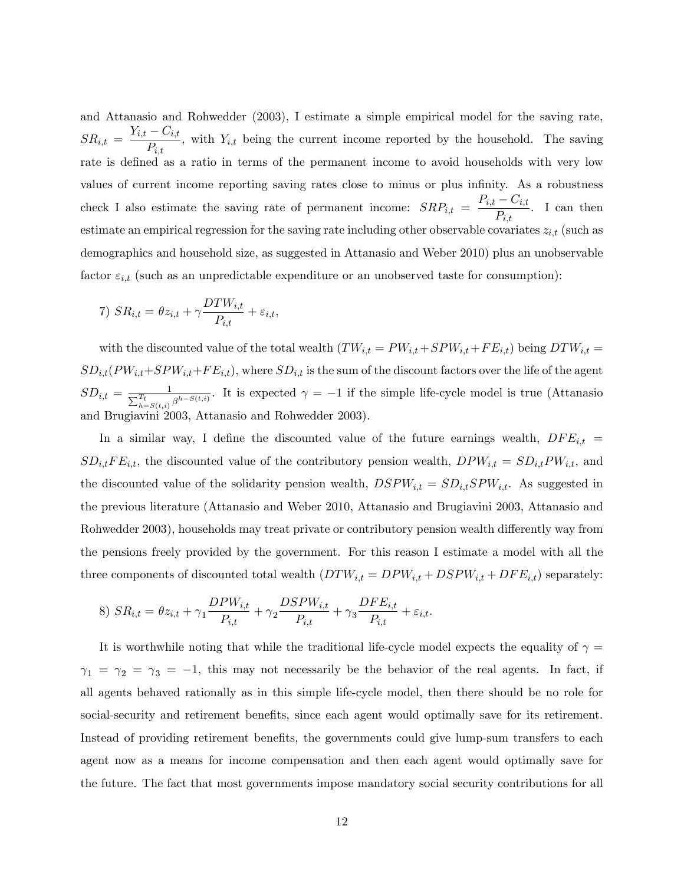and Attanasio and Rohwedder (2003), I estimate a simple empirical model for the saving rate,  $SR_{i,t} = \frac{Y_{i,t} - C_{i,t}}{D}$  $\overline{P_{i,t}}$ , with  $Y_{i,t}$  being the current income reported by the household. The saving rate is defined as a ratio in terms of the permanent income to avoid households with very low values of current income reporting saving rates close to minus or plus infinity. As a robustness check I also estimate the saving rate of permanent income:  $SRP_{i,t} = \frac{P_{i,t} - C_{i,t}}{P_{i,t}}$  $\frac{C_{i,t}}{P_{i,t}}$ . I can then estimate an empirical regression for the saving rate including other observable covariates  $z_{i,t}$  (such as demographics and household size, as suggested in Attanasio and Weber 2010) plus an unobservable factor  $\varepsilon_{i,t}$  (such as an unpredictable expenditure or an unobserved taste for consumption):

7) 
$$
SR_{i,t} = \theta z_{i,t} + \gamma \frac{DTW_{i,t}}{P_{i,t}} + \varepsilon_{i,t},
$$

with the discounted value of the total wealth  $(TW_{i,t} = PW_{i,t} + SPW_{i,t} + FE_{i,t})$  being  $DTW_{i,t} =$  $SD_{i,t}(PW_{i,t}+SPW_{i,t}+FE_{i,t}),$  where  $SD_{i,t}$  is the sum of the discount factors over the life of the agent  $SD_{i,t} = \frac{1}{\sum_{h=S(t,i)}^{T_t} \beta^{h-S(t,i)}}$ . It is expected  $\gamma = -1$  if the simple life-cycle model is true (Attanasio and Brugiavini 2003, Attanasio and Rohwedder 2003).

In a similar way, I define the discounted value of the future earnings wealth,  $DFE_{i,t}$  =  $SD_{i,t}FE_{i,t}$ , the discounted value of the contributory pension wealth,  $DPW_{i,t} = SD_{i,t}PW_{i,t}$ , and the discounted value of the solidarity pension wealth,  $DSPW_{i,t} = SD_{i,t}SPW_{i,t}$ . As suggested in the previous literature (Attanasio and Weber 2010, Attanasio and Brugiavini 2003, Attanasio and Rohwedder 2003), households may treat private or contributory pension wealth differently way from the pensions freely provided by the government. For this reason I estimate a model with all the three components of discounted total wealth  $(DTW_{i,t} = DPW_{i,t} + DSPW_{i,t} + DFE_{i,t})$  separately:

8) 
$$
SR_{i,t} = \theta z_{i,t} + \gamma_1 \frac{DPW_{i,t}}{P_{i,t}} + \gamma_2 \frac{DSPW_{i,t}}{P_{i,t}} + \gamma_3 \frac{DFE_{i,t}}{P_{i,t}} + \varepsilon_{i,t}.
$$

It is worthwhile noting that while the traditional life-cycle model expects the equality of  $\gamma =$  $\gamma_1 = \gamma_2 = \gamma_3 = -1$ , this may not necessarily be the behavior of the real agents. In fact, if all agents behaved rationally as in this simple life-cycle model, then there should be no role for social-security and retirement benefits, since each agent would optimally save for its retirement. Instead of providing retirement benefits, the governments could give lump-sum transfers to each agent now as a means for income compensation and then each agent would optimally save for the future. The fact that most governments impose mandatory social security contributions for all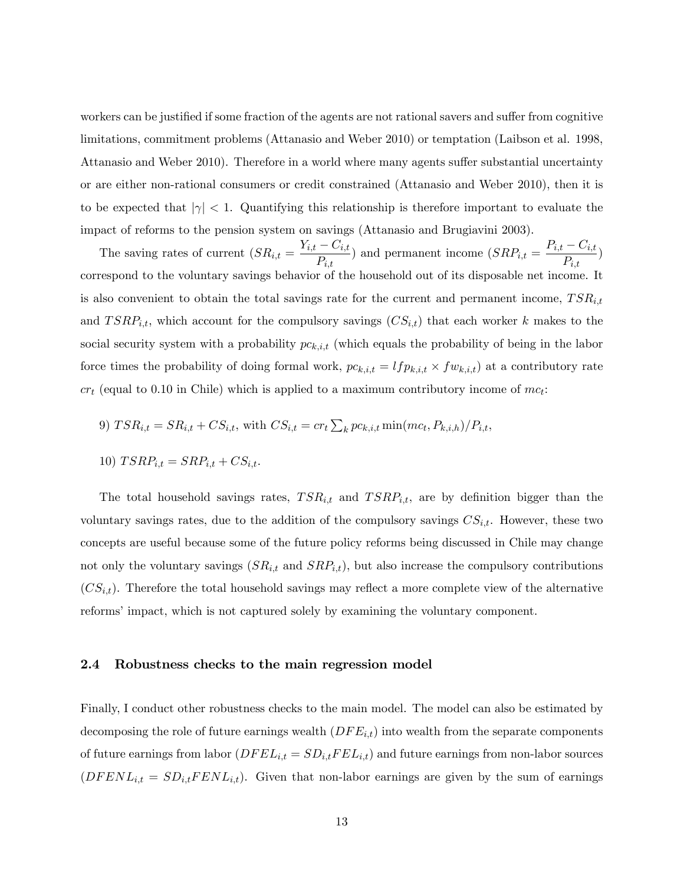workers can be justified if some fraction of the agents are not rational savers and suffer from cognitive limitations, commitment problems (Attanasio and Weber 2010) or temptation (Laibson et al. 1998, Attanasio and Weber 2010). Therefore in a world where many agents suffer substantial uncertainty or are either non-rational consumers or credit constrained (Attanasio and Weber 2010), then it is to be expected that  $|\gamma| < 1$ . Quantifying this relationship is therefore important to evaluate the impact of reforms to the pension system on savings (Attanasio and Brugiavini 2003).

The saving rates of current  $(SR_{i,t} = \frac{Y_{i,t} - C_{i,t}}{R})$  $\frac{(-C_{i,t})}{P_{i,t}}$  and permanent income  $(SRP_{i,t} = \frac{P_{i,t} - C_{i,t}}{P_{i,t}})$  $\frac{\sum_{i,t}^{n} }{P_{i,t}}$ correspond to the voluntary savings behavior of the household out of its disposable net income. It is also convenient to obtain the total savings rate for the current and permanent income,  $TSR_{i,t}$ and  $TSRP_{i,t}$ , which account for the compulsory savings  $(CS_{i,t})$  that each worker k makes to the social security system with a probability  $pc_{k,i,t}$  (which equals the probability of being in the labor force times the probability of doing formal work,  $pc_{k,i,t} = lfp_{k,i,t} \times fw_{k,i,t}$  at a contributory rate  $cr_t$  (equal to 0.10 in Chile) which is applied to a maximum contributory income of  $mc_t$ :

9) 
$$
TSR_{i,t} = SR_{i,t} + CS_{i,t}
$$
, with  $CS_{i,t} = cr_t \sum_k pc_{k,i,t} \min(mc_t, P_{k,i,h})/P_{i,t}$ ,

$$
10) \; TSRP_{i,t} = SRP_{i,t} + CS_{i,t}.
$$

The total household savings rates,  $TSR_{i,t}$  and  $TSRP_{i,t}$ , are by definition bigger than the voluntary savings rates, due to the addition of the compulsory savings  $CS_{i,t}$ . However, these two concepts are useful because some of the future policy reforms being discussed in Chile may change not only the voluntary savings  $(SR_{i,t}$  and  $SRP_{i,t})$ , but also increase the compulsory contributions  $(CS_{i,t})$ . Therefore the total household savings may reflect a more complete view of the alternative reforms' impact, which is not captured solely by examining the voluntary component.

#### 2.4 Robustness checks to the main regression model

Finally, I conduct other robustness checks to the main model. The model can also be estimated by decomposing the role of future earnings wealth  $(DFE_{i,t})$  into wealth from the separate components of future earnings from labor  $(DFEL_{i,t} = SD_{i,t} FEL_{i,t})$  and future earnings from non-labor sources  $(DFENL_{i,t} = SD_{i,t} FENL_{i,t})$ . Given that non-labor earnings are given by the sum of earnings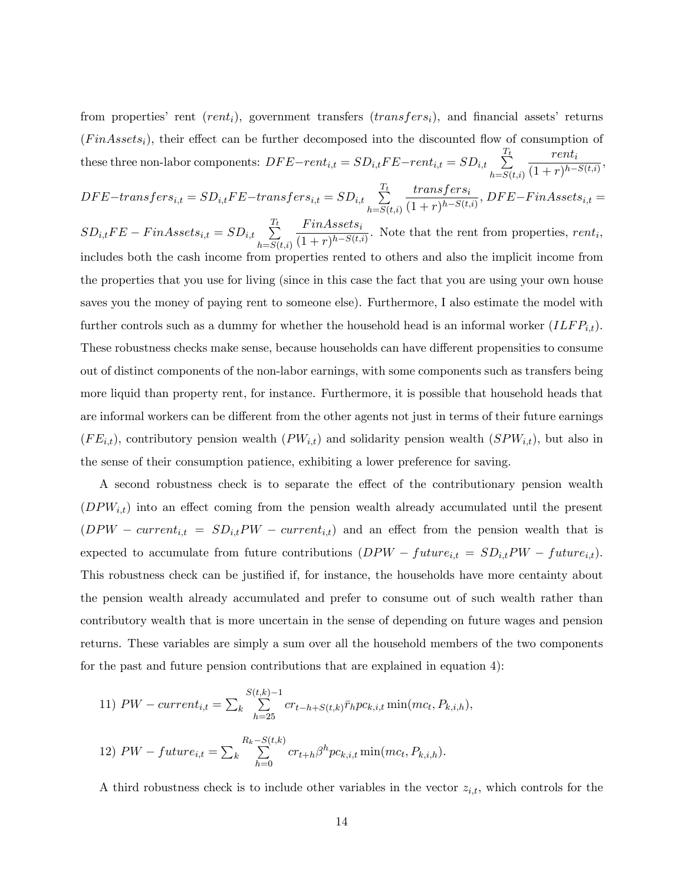from properties' rent  $(rent_i)$ , government transfers  $(transfers_i)$ , and financial assets' returns  $(FinAssets_i)$ , their effect can be further decomposed into the discounted flow of consumption of these three non-labor components:  $DFE-rent_{i,t} = SD_{i,t}FE-rent_{i,t} = SD_{i,t}$  $h = S(t,i)$  $_{renti}$  $\frac{\cdot \cdot \cdot \cdot \cdot}{(1+r)^{h-S(t,i)}},$ 

 $DFE-transfers_{i,t} = SD_{i,t}FE-transfers_{i,t} = SD_{i,t} \sum_{i=1}^{T_t}$  $h = S(t,i)$  $\it transfers_i$  $\frac{1}{(1+r)^{h-S(t,i)}},$   $DFE-FinAssets_{i,t}$ 

 $SD_{i,t}FE-FinAssets_{i,t} = SD_{i,t} \sum_{i=1}^{T_t}$  $h = S(t,i)$  $FinAssets_i$  $\frac{1}{(1+r)^{h-S(t,i)}}$ . Note that the rent from properties, rent<sub>i</sub>, includes both the cash income from properties rented to others and also the implicit income from the properties that you use for living (since in this case the fact that you are using your own house saves you the money of paying rent to someone else). Furthermore, I also estimate the model with further controls such as a dummy for whether the household head is an informal worker  $(ILFP_{i,t})$ . These robustness checks make sense, because households can have different propensities to consume out of distinct components of the non-labor earnings, with some components such as transfers being more liquid than property rent, for instance. Furthermore, it is possible that household heads that are informal workers can be different from the other agents not just in terms of their future earnings  $(FE_{i,t})$ , contributory pension wealth  $(PW_{i,t})$  and solidarity pension wealth  $(SPW_{i,t})$ , but also in the sense of their consumption patience, exhibiting a lower preference for saving.

A second robustness check is to separate the effect of the contributionary pension wealth  $(DPW_{i,t})$  into an effect coming from the pension wealth already accumulated until the present  $(DPW current_{i,t} = SD_{i,t}PW current_{i,t})$  and an effect from the pension wealth that is expected to accumulate from future contributions  $(DPW-future_{i,t} = SD_{i,t}PW-future_{i,t}).$ This robustness check can be justified if, for instance, the households have more centainty about the pension wealth already accumulated and prefer to consume out of such wealth rather than contributory wealth that is more uncertain in the sense of depending on future wages and pension returns. These variables are simply a sum over all the household members of the two components for the past and future pension contributions that are explained in equation 4):

11) 
$$
PW - current_{i,t} = \sum_{k} \sum_{h=25}^{S(t,k)-1} cr_{t-h+S(t,k)} \bar{r}_h pc_{k,i,t} \min(mc_t, P_{k,i,h}),
$$
  
12)  $PW - future_{i,t} = \sum_{k} \sum_{h=0}^{R_k-S(t,k)} cr_{t+h} \beta^h pc_{k,i,t} \min(mc_t, P_{k,i,h}).$ 

A third robustness check is to include other variables in the vector  $z_{i,t}$ , which controls for the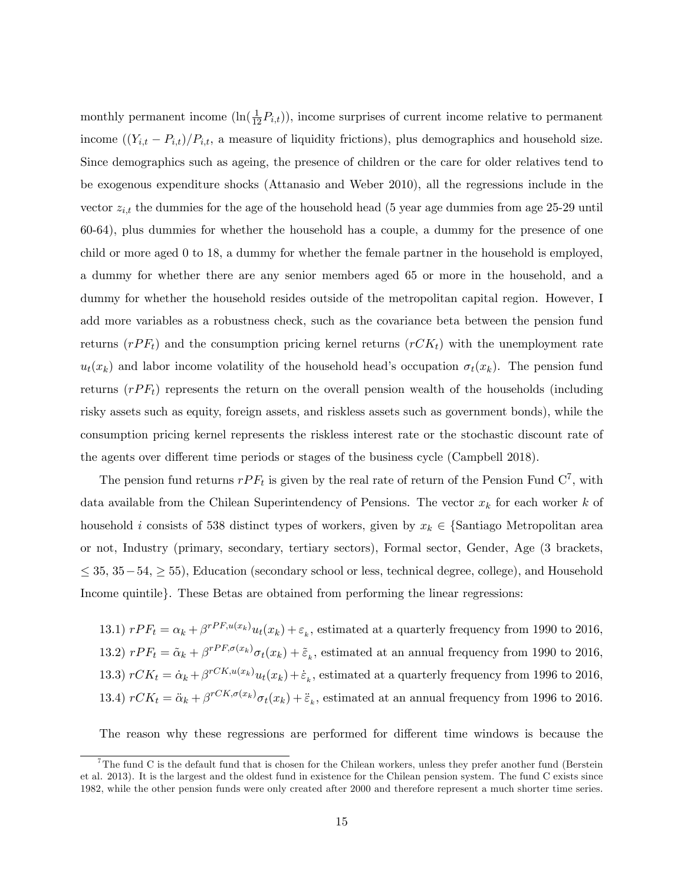monthly permanent income  $(\ln(\frac{1}{12}P_{i,t}))$ , income surprises of current income relative to permanent income  $((Y_{i,t} - P_{i,t})/P_{i,t}$ , a measure of liquidity frictions), plus demographics and household size. Since demographics such as ageing, the presence of children or the care for older relatives tend to be exogenous expenditure shocks (Attanasio and Weber 2010), all the regressions include in the vector  $z_{i,t}$  the dummies for the age of the household head (5 year age dummies from age 25-29 until 60-64), plus dummies for whether the household has a couple, a dummy for the presence of one child or more aged 0 to 18, a dummy for whether the female partner in the household is employed, a dummy for whether there are any senior members aged 65 or more in the household, and a dummy for whether the household resides outside of the metropolitan capital region. However, I add more variables as a robustness check, such as the covariance beta between the pension fund returns  $(rPF_t)$  and the consumption pricing kernel returns  $(rCK_t)$  with the unemployment rate  $u_t(x_k)$  and labor income volatility of the household head's occupation  $\sigma_t(x_k)$ . The pension fund returns  $(rPF_t)$  represents the return on the overall pension wealth of the households (including risky assets such as equity, foreign assets, and riskless assets such as government bonds), while the consumption pricing kernel represents the riskless interest rate or the stochastic discount rate of the agents over different time periods or stages of the business cycle (Campbell 2018).

The pension fund returns  $rPF_t$  is given by the real rate of return of the Pension Fund  $C^7$ , with data available from the Chilean Superintendency of Pensions. The vector  $x_k$  for each worker k of household i consists of 538 distinct types of workers, given by  $x_k \in \{\text{Santiago Metropolitan area}\}\$ or not, Industry (primary, secondary, tertiary sectors), Formal sector, Gender, Age (3 brackets,  $\leq$  35, 35 – 54,  $\geq$  55), Education (secondary school or less, technical degree, college), and Household Income quintile. These Betas are obtained from performing the linear regressions:

13.1)  $rPF_t = \alpha_k + \beta^{rPF, u(x_k)} u_t(x_k) + \varepsilon_k$ , estimated at a quarterly frequency from 1990 to 2016, 13.2)  $rPF_t = \tilde{\alpha}_k + \beta^{rPF, \sigma(x_k)} \sigma_t(x_k) + \tilde{\varepsilon}_k$ , estimated at an annual frequency from 1990 to 2016, 13.3)  $rCK_t = \dot{\alpha}_k + \beta^{rCK, u(x_k)} u_t(x_k) + \dot{\varepsilon}_k$ , estimated at a quarterly frequency from 1996 to 2016, 13.4)  $rCK_t = \ddot{\alpha}_k + \beta^{rCK, \sigma(x_k)} \sigma_t(x_k) + \ddot{\varepsilon}_k$ , estimated at an annual frequency from 1996 to 2016.

The reason why these regressions are performed for different time windows is because the

<sup>&</sup>lt;sup>7</sup>The fund C is the default fund that is chosen for the Chilean workers, unless they prefer another fund (Berstein et al. 2013). It is the largest and the oldest fund in existence for the Chilean pension system. The fund C exists since 1982, while the other pension funds were only created after 2000 and therefore represent a much shorter time series.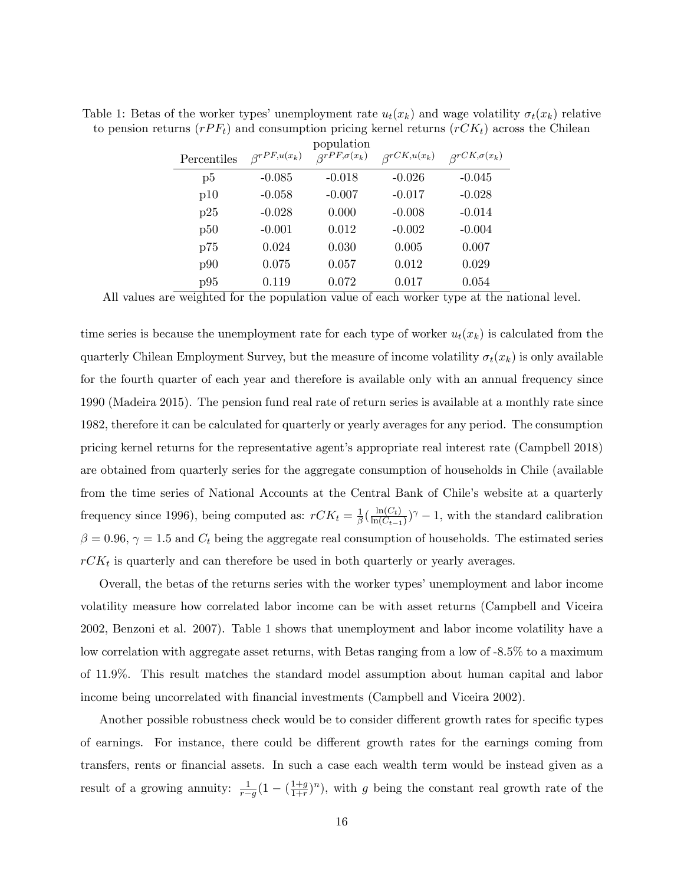| Percentiles | $\beta^{rPF,u(x_k)}$ | population<br>$\beta^{rPF,\sigma(x_k)}$ | $\beta^{rCK, u(x_k)}$ | $\beta^{rCK, \sigma(x_k)}$ |
|-------------|----------------------|-----------------------------------------|-----------------------|----------------------------|
| $_{\rm p5}$ | $-0.085$             | $-0.018$                                | $-0.026$              | $-0.045$                   |
| p10         | $-0.058$             | $-0.007$                                | $-0.017$              | $-0.028$                   |
| p25         | $-0.028$             | 0.000                                   | $-0.008$              | $-0.014$                   |
| p50         | $-0.001$             | 0.012                                   | $-0.002$              | $-0.004$                   |
| p75         | 0.024                | 0.030                                   | 0.005                 | 0.007                      |
| p90         | 0.075                | 0.057                                   | 0.012                 | 0.029                      |
| p95         | 0.119                | 0.072                                   | 0.017                 | 0.054                      |

Table 1: Betas of the worker types' unemployment rate  $u_t(x_k)$  and wage volatility  $\sigma_t(x_k)$  relative to pension returns  $(rPF_t)$  and consumption pricing kernel returns  $(rCK_t)$  across the Chilean

All values are weighted for the population value of each worker type at the national level.

time series is because the unemployment rate for each type of worker  $u_t(x_k)$  is calculated from the quarterly Chilean Employment Survey, but the measure of income volatility  $\sigma_t(x_k)$  is only available for the fourth quarter of each year and therefore is available only with an annual frequency since 1990 (Madeira 2015). The pension fund real rate of return series is available at a monthly rate since 1982, therefore it can be calculated for quarterly or yearly averages for any period. The consumption pricing kernel returns for the representative agent's appropriate real interest rate (Campbell 2018) are obtained from quarterly series for the aggregate consumption of households in Chile (available from the time series of National Accounts at the Central Bank of Chile's website at a quarterly frequency since 1996), being computed as:  $rCK_t = \frac{1}{\beta}$  $\frac{1}{\beta}(\frac{\ln(C_t)}{\ln(C_{t-1})}$  $\frac{\ln(C_t)}{\ln(C_{t-1})}$ <sup> $\gamma$ </sup> – 1, with the standard calibration  $\beta = 0.96$ ,  $\gamma = 1.5$  and  $C_t$  being the aggregate real consumption of households. The estimated series  $rCK_t$  is quarterly and can therefore be used in both quarterly or yearly averages.

Overall, the betas of the returns series with the worker types' unemployment and labor income volatility measure how correlated labor income can be with asset returns (Campbell and Viceira 2002, Benzoni et al. 2007). Table 1 shows that unemployment and labor income volatility have a low correlation with aggregate asset returns, with Betas ranging from a low of -8.5% to a maximum of 11.9%. This result matches the standard model assumption about human capital and labor income being uncorrelated with financial investments (Campbell and Viceira 2002).

Another possible robustness check would be to consider different growth rates for specific types of earnings. For instance, there could be different growth rates for the earnings coming from transfers, rents or Önancial assets. In such a case each wealth term would be instead given as a result of a growing annuity:  $\frac{1}{r-g}(1 - (\frac{1+g}{1+r})$  $\frac{1+g}{1+r}$ , with g being the constant real growth rate of the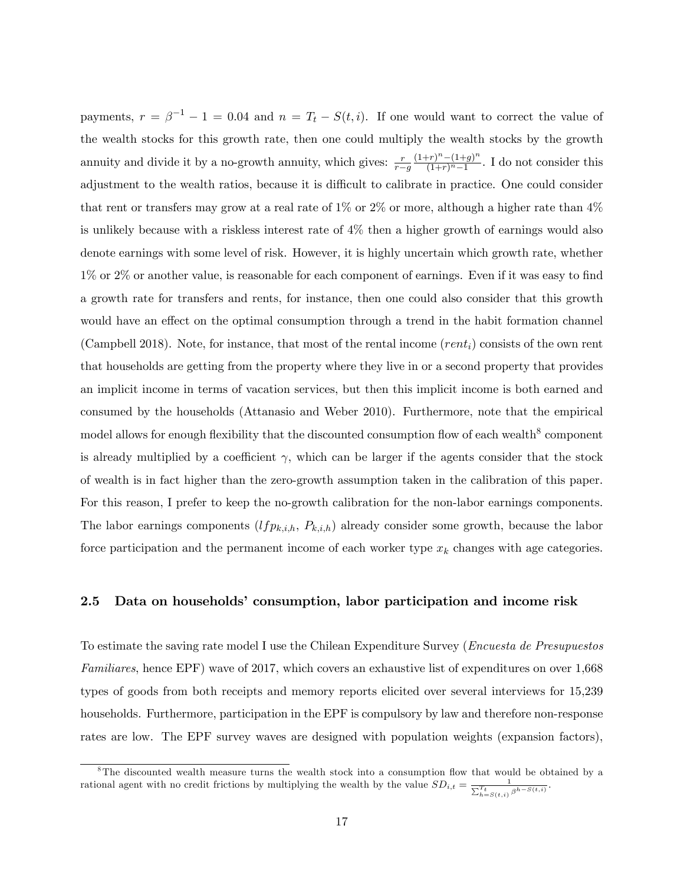payments,  $r = \beta^{-1} - 1 = 0.04$  and  $n = T_t - S(t, i)$ . If one would want to correct the value of the wealth stocks for this growth rate, then one could multiply the wealth stocks by the growth annuity and divide it by a no-growth annuity, which gives:  $\frac{r}{r-g}$  $\frac{(1+r)^n - (1+g)^n}{(1+g)^n}$  $\frac{(-r)^{n} - (1+g)^{n}}{(1+r)^{n}-1}$ . I do not consider this adjustment to the wealth ratios, because it is difficult to calibrate in practice. One could consider that rent or transfers may grow at a real rate of  $1\%$  or  $2\%$  or more, although a higher rate than  $4\%$ is unlikely because with a riskless interest rate of 4% then a higher growth of earnings would also denote earnings with some level of risk. However, it is highly uncertain which growth rate, whether 1% or 2% or another value, is reasonable for each component of earnings. Even if it was easy to find a growth rate for transfers and rents, for instance, then one could also consider that this growth would have an effect on the optimal consumption through a trend in the habit formation channel (Campbell 2018). Note, for instance, that most of the rental income  $(rent<sub>i</sub>)$  consists of the own rent that households are getting from the property where they live in or a second property that provides an implicit income in terms of vacation services, but then this implicit income is both earned and consumed by the households (Attanasio and Weber 2010). Furthermore, note that the empirical model allows for enough flexibility that the discounted consumption flow of each wealth<sup>8</sup> component is already multiplied by a coefficient  $\gamma$ , which can be larger if the agents consider that the stock of wealth is in fact higher than the zero-growth assumption taken in the calibration of this paper. For this reason, I prefer to keep the no-growth calibration for the non-labor earnings components. The labor earnings components  $(If p_{k,i,h}, P_{k,i,h})$  already consider some growth, because the labor force participation and the permanent income of each worker type  $x_k$  changes with age categories.

## 2.5 Data on households' consumption, labor participation and income risk

To estimate the saving rate model I use the Chilean Expenditure Survey (Encuesta de Presupuestos Familiares, hence EPF) wave of 2017, which covers an exhaustive list of expenditures on over 1,668 types of goods from both receipts and memory reports elicited over several interviews for 15,239 households. Furthermore, participation in the EPF is compulsory by law and therefore non-response rates are low. The EPF survey waves are designed with population weights (expansion factors),

<sup>&</sup>lt;sup>8</sup>The discounted wealth measure turns the wealth stock into a consumption flow that would be obtained by a rational agent with no credit frictions by multiplying the wealth by the value  $SD_{i,t} = \frac{1}{\sum_{h=S(t,i)}^{T_t} \beta^{h-S(t,i)}}$ .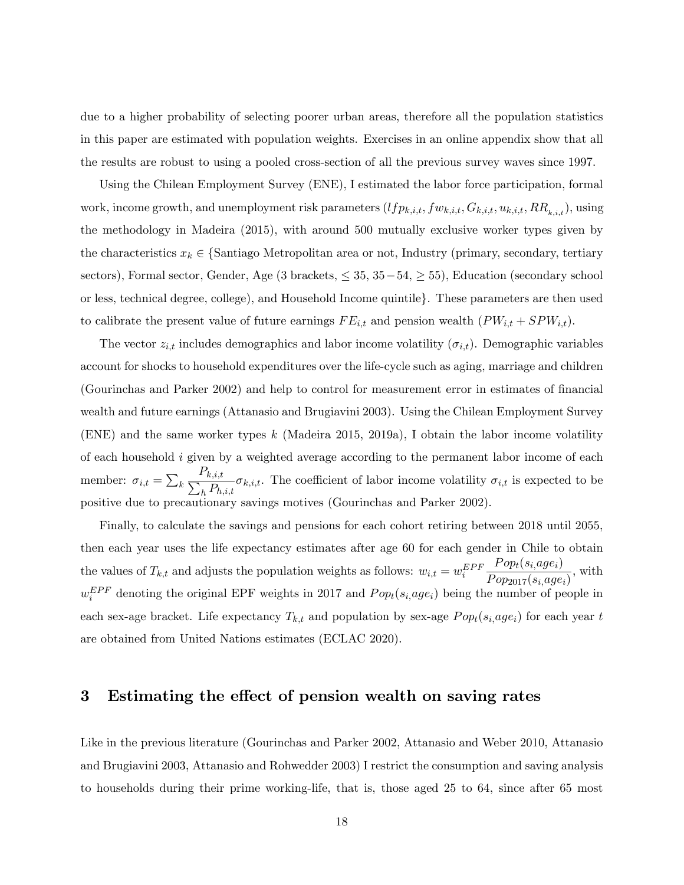due to a higher probability of selecting poorer urban areas, therefore all the population statistics in this paper are estimated with population weights. Exercises in an online appendix show that all the results are robust to using a pooled cross-section of all the previous survey waves since 1997.

Using the Chilean Employment Survey (ENE), I estimated the labor force participation, formal work, income growth, and unemployment risk parameters  $(If p_{k,i,t}, fw_{k,i,t}, G_{k,i,t}, u_{k,i,t}, RR_{k,i,t})$ , using the methodology in Madeira (2015), with around 500 mutually exclusive worker types given by the characteristics  $x_k \in \{\text{Santiago Metropolitan area or not, Industry (primary, secondary, tertiary,$ sectors), Formal sector, Gender, Age (3 brackets,  $\leq 35, 35-54, \geq 55$ ), Education (secondary school or less, technical degree, college), and Household Income quintile. These parameters are then used to calibrate the present value of future earnings  $FE_{i,t}$  and pension wealth  $(PW_{i,t} + SPW_{i,t})$ .

The vector  $z_{i,t}$  includes demographics and labor income volatility  $(\sigma_{i,t})$ . Demographic variables account for shocks to household expenditures over the life-cycle such as aging, marriage and children (Gourinchas and Parker 2002) and help to control for measurement error in estimates of Önancial wealth and future earnings (Attanasio and Brugiavini 2003). Using the Chilean Employment Survey (ENE) and the same worker types  $k$  (Madeira 2015, 2019a), I obtain the labor income volatility of each household i given by a weighted average according to the permanent labor income of each member:  $\sigma_{i,t} = \sum_k \frac{1}{\sum_k}$  $P_{k,i,t}$  $\frac{k,i,t}{h} \sigma_{k,i,t}$ . The coefficient of labor income volatility  $\sigma_{i,t}$  is expected to be positive due to precautionary savings motives (Gourinchas and Parker 2002).

Finally, to calculate the savings and pensions for each cohort retiring between 2018 until 2055, then each year uses the life expectancy estimates after age 60 for each gender in Chile to obtain the values of  $T_{k,t}$  and adjusts the population weights as follows:  $w_{i,t} = w_i^{EPF}$  $Pop_t(s_i, age_i)$  $\frac{1}{Pop_{2017}(s_i, age_i)}$ , with  $w_i^{EPF}$  denoting the original EPF weights in 2017 and  $Pop_t(s_i, age_i)$  being the number of people in each sex-age bracket. Life expectancy  $T_{k,t}$  and population by sex-age  $Pop_t(s_i, age_i)$  for each year t are obtained from United Nations estimates (ECLAC 2020).

## 3 Estimating the effect of pension wealth on saving rates

Like in the previous literature (Gourinchas and Parker 2002, Attanasio and Weber 2010, Attanasio and Brugiavini 2003, Attanasio and Rohwedder 2003) I restrict the consumption and saving analysis to households during their prime working-life, that is, those aged 25 to 64, since after 65 most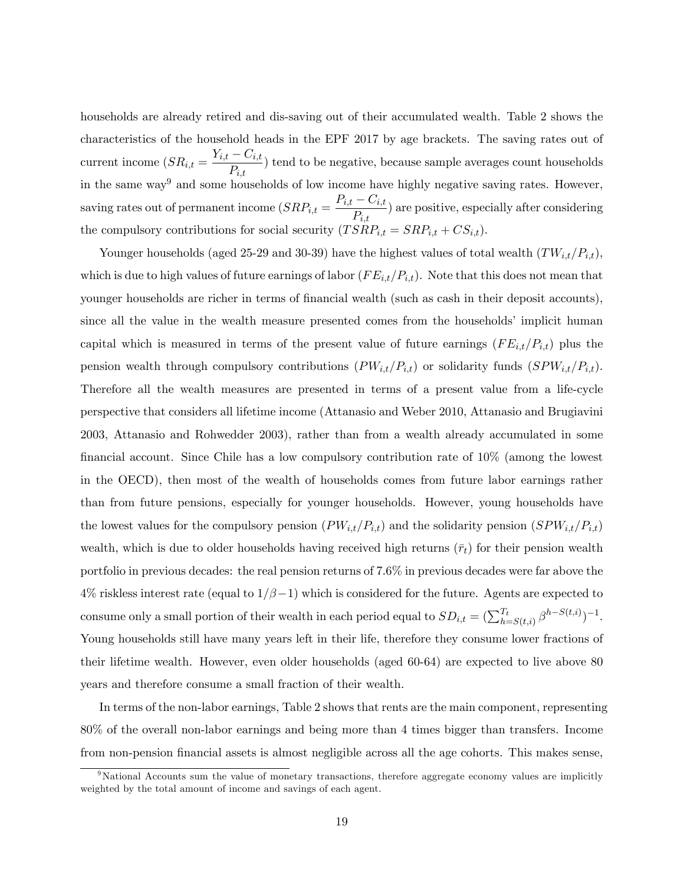households are already retired and dis-saving out of their accumulated wealth. Table 2 shows the characteristics of the household heads in the EPF 2017 by age brackets. The saving rates out of current income  $(SR_{i,t} = \frac{Y_{i,t} - C_{i,t}}{R})$  $\overline{P_{i,t}}$  tend to be negative, because sample averages count households in the same way<sup>9</sup> and some households of low income have highly negative saving rates. However, saving rates out of permanent income  $(SRP_{i,t} = \frac{P_{i,t} - C_{i,t}}{P_{i,t}})$  $\sqrt{\frac{C_{i,t}}{P_{i,t}}}$  are positive, especially after considering the compulsory contributions for social security  $(TSRP_{i,t} = SRP_{i,t} + CS_{i,t}).$ 

Younger households (aged 25-29 and 30-39) have the highest values of total wealth  $(TW_{i,t}/P_{i,t}),$ which is due to high values of future earnings of labor  $(FE_{i,t}/P_{i,t})$ . Note that this does not mean that younger households are richer in terms of financial wealth (such as cash in their deposit accounts), since all the value in the wealth measure presented comes from the households' implicit human capital which is measured in terms of the present value of future earnings  $(FE_{i,t}/P_{i,t})$  plus the pension wealth through compulsory contributions  $(PW_{i,t}/P_{i,t})$  or solidarity funds  $(SPW_{i,t}/P_{i,t})$ . Therefore all the wealth measures are presented in terms of a present value from a life-cycle perspective that considers all lifetime income (Attanasio and Weber 2010, Attanasio and Brugiavini 2003, Attanasio and Rohwedder 2003), rather than from a wealth already accumulated in some financial account. Since Chile has a low compulsory contribution rate of  $10\%$  (among the lowest in the OECD), then most of the wealth of households comes from future labor earnings rather than from future pensions, especially for younger households. However, young households have the lowest values for the compulsory pension  $(PW_{i,t}/P_{i,t})$  and the solidarity pension  $(SPW_{i,t}/P_{i,t})$ wealth, which is due to older households having received high returns  $(\bar{r}_t)$  for their pension wealth portfolio in previous decades: the real pension returns of 7.6% in previous decades were far above the  $4\%$  riskless interest rate (equal to  $1/\beta - 1$ ) which is considered for the future. Agents are expected to consume only a small portion of their wealth in each period equal to  $SD_{i,t} = (\sum_{h=S(t,i)}^{T_t} \beta^{h-S(t,i)})^{-1}$ . Young households still have many years left in their life, therefore they consume lower fractions of their lifetime wealth. However, even older households (aged 60-64) are expected to live above 80 years and therefore consume a small fraction of their wealth.

In terms of the non-labor earnings, Table 2 shows that rents are the main component, representing 80% of the overall non-labor earnings and being more than 4 times bigger than transfers. Income from non-pension financial assets is almost negligible across all the age cohorts. This makes sense,

<sup>&</sup>lt;sup>9</sup>National Accounts sum the value of monetary transactions, therefore aggregate economy values are implicitly weighted by the total amount of income and savings of each agent.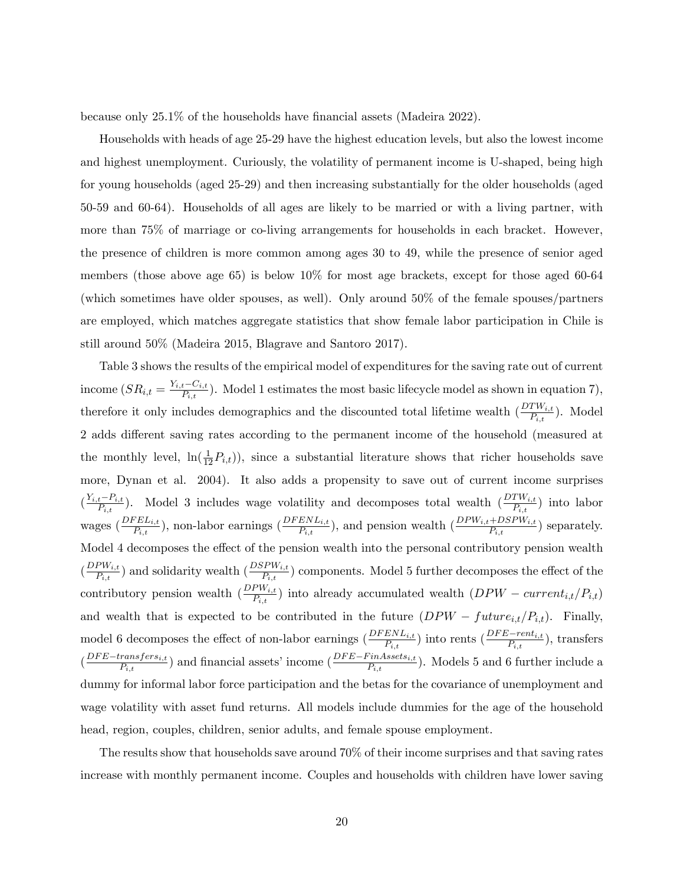because only  $25.1\%$  of the households have financial assets (Madeira 2022).

Households with heads of age 25-29 have the highest education levels, but also the lowest income and highest unemployment. Curiously, the volatility of permanent income is U-shaped, being high for young households (aged 25-29) and then increasing substantially for the older households (aged 50-59 and 60-64). Households of all ages are likely to be married or with a living partner, with more than 75% of marriage or co-living arrangements for households in each bracket. However, the presence of children is more common among ages 30 to 49, while the presence of senior aged members (those above age 65) is below 10% for most age brackets, except for those aged 60-64 (which sometimes have older spouses, as well). Only around 50% of the female spouses/partners are employed, which matches aggregate statistics that show female labor participation in Chile is still around 50% (Madeira 2015, Blagrave and Santoro 2017).

Table 3 shows the results of the empirical model of expenditures for the saving rate out of current income  $(SR_{i,t} = \frac{Y_{i,t} - C_{i,t}}{P_{i,t}})$ . Model 1 estimates the most basic lifecycle model as shown in equation 7), therefore it only includes demographics and the discounted total lifetime wealth  $(\frac{DTW_{i,t}}{P_{i,t}})$ . Model 2 adds different saving rates according to the permanent income of the household (measured at the monthly level,  $\ln(\frac{1}{12}P_{i,t})$ , since a substantial literature shows that richer households save more, Dynan et al. 2004). It also adds a propensity to save out of current income surprises  $(\frac{Y_{i,t}-P_{i,t}}{P_{i,t}})$ . Model 3 includes wage volatility and decomposes total wealth  $(\frac{DTW_{i,t}}{P_{i,t}})$  into labor wages  $(\frac{DFEL_{i,t}}{P_{i,t}})$ , non-labor earnings  $(\frac{DFENL_{i,t}}{P_{i,t}})$ , and pension wealth  $(\frac{DPW_{i,t}+DSPW_{i,t}}{P_{i,t}})$  separately. Model 4 decomposes the effect of the pension wealth into the personal contributory pension wealth  $\left(\frac{DPW_{i,t}}{P_{i,t}}\right)$  $\frac{PW_{i,t}}{P_{i,t}}$  and solidarity wealth  $(\frac{DSPW_{i,t}}{P_{i,t}})$  components. Model 5 further decomposes the effect of the contributory pension wealth  $\left(\frac{DPW_{i,t}}{P_{i,t}}\right)$  into already accumulated wealth  $\left(DPW-current_{i,t}/P_{i,t}\right)$ and wealth that is expected to be contributed in the future  $(DPW-future_{i,t}/P_{i,t})$ . Finally, model 6 decomposes the effect of non-labor earnings  $(\frac{DFENL_{i,t}}{P_{i,t}})$  into rents  $(\frac{DFE-rent_{i,t}}{P_{i,t}})$ , transfers  $(\frac{DFE-transfers_{i,t}}{P_{i,t}})$  and financial assets' income  $(\frac{DFE-FinAssets_{i,t}}{P_{i,t}})$ . Models 5 and 6 further include a dummy for informal labor force participation and the betas for the covariance of unemployment and wage volatility with asset fund returns. All models include dummies for the age of the household head, region, couples, children, senior adults, and female spouse employment.

The results show that households save around 70% of their income surprises and that saving rates increase with monthly permanent income. Couples and households with children have lower saving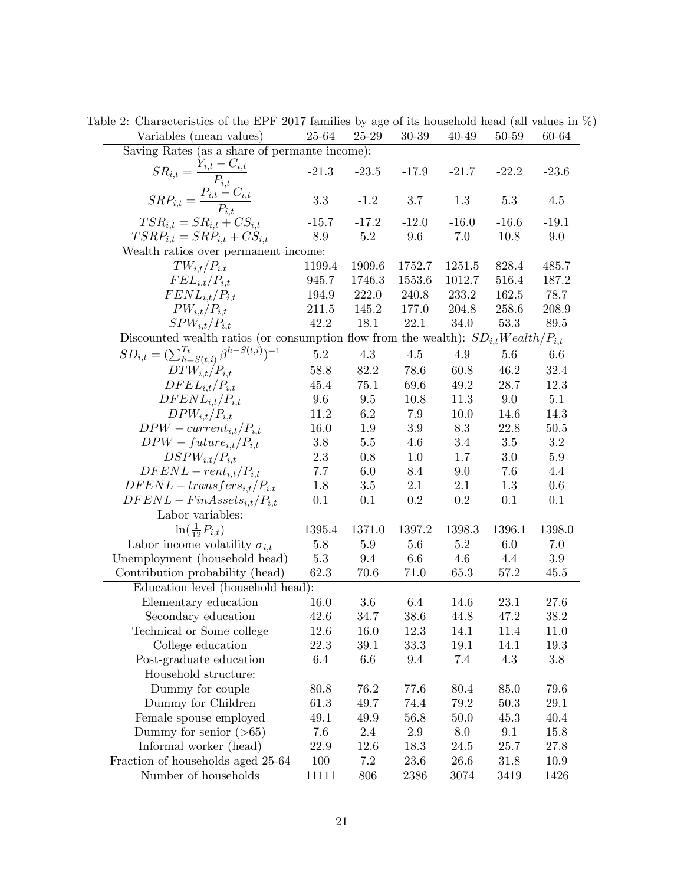| Variables (mean values)                                                                 | 25-64   | 25-29   | 30-39   | 40-49   | 50-59    | 60-64     |  |  |
|-----------------------------------------------------------------------------------------|---------|---------|---------|---------|----------|-----------|--|--|
| Saving Rates (as a share of permante income):                                           |         |         |         |         |          |           |  |  |
| $SR_{i,t} = \frac{Y_{i,t} - C_{i,t}}{P_{i,t}}$                                          | $-21.3$ | $-23.5$ | $-17.9$ | $-21.7$ | $-22.2$  | $-23.6$   |  |  |
| $SRP_{i,t} = \frac{P_{i,t} - C_{i,t}}{P_{i,t}}$                                         | $3.3\,$ | $-1.2$  | 3.7     | 1.3     | 5.3      | 4.5       |  |  |
| $TSR_{i,t} = SR_{i,t} + CS_{i,t}$                                                       | $-15.7$ | $-17.2$ | $-12.0$ | $-16.0$ | $-16.6$  | $-19.1$   |  |  |
| $TSRP_{i,t} = SRP_{i,t} + CS_{i,t}$                                                     | 8.9     | 5.2     | 9.6     | 7.0     | 10.8     | 9.0       |  |  |
| Wealth ratios over permanent income:                                                    |         |         |         |         |          |           |  |  |
| $TW_{i,t}/P_{i,t}$                                                                      | 1199.4  | 1909.6  | 1752.7  | 1251.5  | 828.4    | 485.7     |  |  |
| $FEL_{i,t}/P_{i,t}$                                                                     | 945.7   | 1746.3  | 1553.6  | 1012.7  | 516.4    | 187.2     |  |  |
| $FENL_{i,t}/P_{i,t}$                                                                    | 194.9   | 222.0   | 240.8   | 233.2   | 162.5    | 78.7      |  |  |
| $PW_{i,t}/P_{i,t}$                                                                      | 211.5   | 145.2   | 177.0   | 204.8   | 258.6    | 208.9     |  |  |
| $SPW_{i,t}/P_{i,t}$                                                                     | 42.2    | 18.1    | 22.1    | 34.0    | 53.3     | 89.5      |  |  |
| Discounted wealth ratios (or consumption flow from the wealth): $SD_{i,t}Weather_{i,t}$ |         |         |         |         |          |           |  |  |
| $SD_{i,t} = (\sum_{h=S(t,i)}^{T_t} \beta^{h-S(t,i)})^{-1}$                              | $5.2\,$ | $4.3\,$ | $4.5\,$ | 4.9     | $5.6\,$  | 6.6       |  |  |
| $DTW_{i,t}/P_{i,t}$                                                                     | 58.8    | 82.2    | 78.6    | 60.8    | 46.2     | 32.4      |  |  |
| $DFEL_{i,t}/P_{i,t}$                                                                    | 45.4    | 75.1    | 69.6    | 49.2    | 28.7     | 12.3      |  |  |
| $DFENL_{i,t}/P_{i,t}$                                                                   | 9.6     | $9.5\,$ | 10.8    | 11.3    | 9.0      | 5.1       |  |  |
| $DPW_{i,t}/P_{i,t}$                                                                     | 11.2    | 6.2     | 7.9     | 10.0    | 14.6     | 14.3      |  |  |
| $DPW-current_{i,t}/P_{i,t}$                                                             | 16.0    | 1.9     | 3.9     | 8.3     | 22.8     | $50.5\,$  |  |  |
| $DPW - future_{i,t}/P_{i,t}$                                                            | $3.8\,$ | $5.5\,$ | 4.6     | $3.4\,$ | $3.5\,$  | $\!3.2\!$ |  |  |
| $DSPW_{i,t}/P_{i,t}$                                                                    | 2.3     | 0.8     | 1.0     | 1.7     | 3.0      | $5.9\,$   |  |  |
| $DFENL-rent_{i,t}/P_{i,t}$                                                              | 7.7     | 6.0     | 8.4     | 9.0     | 7.6      | 4.4       |  |  |
| $DFENL - transfers_{i,t}/P_{i,t}$                                                       | 1.8     | $3.5\,$ | 2.1     | 2.1     | 1.3      | 0.6       |  |  |
| $DFENL-FinAssets_{i,t}/P_{i,t}$                                                         | 0.1     | 0.1     | 0.2     | $0.2\,$ | 0.1      | 0.1       |  |  |
| Labor variables:                                                                        |         |         |         |         |          |           |  |  |
| $\ln(\frac{1}{12}P_{i,t})$                                                              | 1395.4  | 1371.0  | 1397.2  | 1398.3  | 1396.1   | 1398.0    |  |  |
| Labor income volatility $\sigma_{i,t}$                                                  | $5.8\,$ | 5.9     | 5.6     | $5.2\,$ | 6.0      | 7.0       |  |  |
| Unemployment (household head)                                                           | $5.3\,$ | 9.4     | 6.6     | 4.6     | 4.4      | 3.9       |  |  |
| Contribution probability (head)                                                         | 62.3    | 70.6    | 71.0    | 65.3    | 57.2     | 45.5      |  |  |
| Education level (household head):                                                       |         |         |         |         |          |           |  |  |
| Elementary education                                                                    | 16.0    | 3.6     | 6.4     | 14.6    | 23.1     | 27.6      |  |  |
| Secondary education                                                                     | 42.6    | 34.7    | 38.6    | 44.8    | 47.2     | 38.2      |  |  |
| Technical or Some college                                                               | 12.6    | 16.0    | 12.3    | 14.1    | 11.4     | 11.0      |  |  |
| College education                                                                       | 22.3    | 39.1    | 33.3    | 19.1    | 14.1     | 19.3      |  |  |
| Post-graduate education                                                                 | 6.4     | 6.6     | 9.4     | 7.4     | 4.3      | $3.8\,$   |  |  |
| Household structure:                                                                    |         |         |         |         |          |           |  |  |
| Dummy for couple                                                                        | 80.8    | 76.2    | 77.6    | 80.4    | 85.0     | 79.6      |  |  |
| Dummy for Children                                                                      | 61.3    | 49.7    | 74.4    | 79.2    | $50.3\,$ | $29.1\,$  |  |  |
| Female spouse employed                                                                  | 49.1    | 49.9    | 56.8    | 50.0    | 45.3     | 40.4      |  |  |
| Dummy for senior $($ >65)                                                               | 7.6     | $2.4\,$ | $2.9\,$ | 8.0     | 9.1      | 15.8      |  |  |
| Informal worker (head)                                                                  | 22.9    | 12.6    | 18.3    | 24.5    | 25.7     | 27.8      |  |  |
| Fraction of households aged 25-64                                                       | 100     | 7.2     | 23.6    | 26.6    | 31.8     | 10.9      |  |  |
| Number of households                                                                    | 11111   | 806     | 2386    | 3074    | 3419     | 1426      |  |  |

Table 2: Characteristics of the EPF 2017 families by age of its household head (all values in %)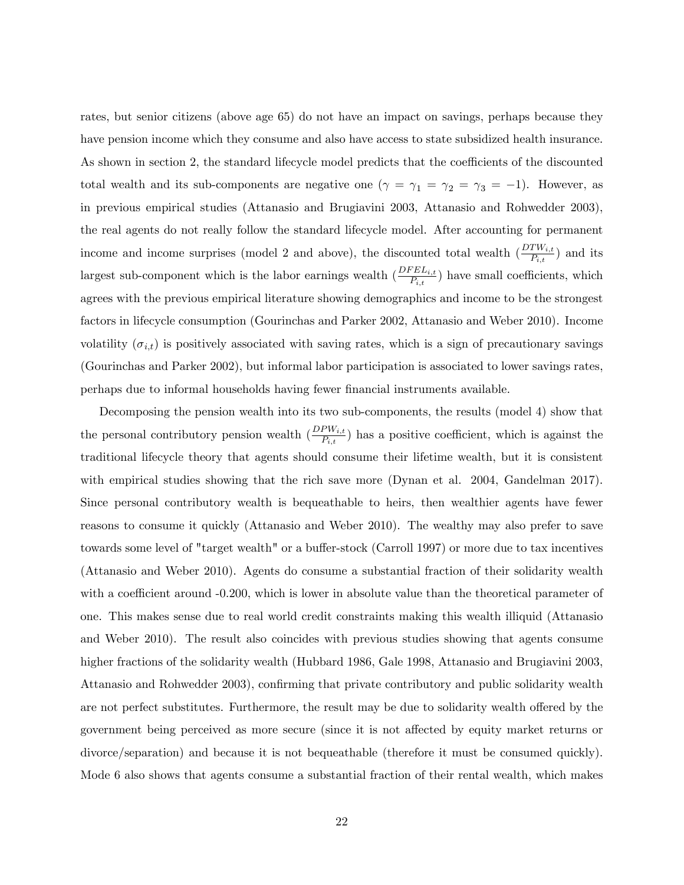rates, but senior citizens (above age 65) do not have an impact on savings, perhaps because they have pension income which they consume and also have access to state subsidized health insurance. As shown in section 2, the standard lifecycle model predicts that the coefficients of the discounted total wealth and its sub-components are negative one  $(\gamma = \gamma_1 = \gamma_2 = \gamma_3 = -1)$ . However, as in previous empirical studies (Attanasio and Brugiavini 2003, Attanasio and Rohwedder 2003), the real agents do not really follow the standard lifecycle model. After accounting for permanent income and income surprises (model 2 and above), the discounted total wealth  $(\frac{DTW_{i,t}}{P_{i,t}})$  and its largest sub-component which is the labor earnings wealth  $(\frac{DFEL_{i,t}}{P_{i,t}})$  have small coefficients, which agrees with the previous empirical literature showing demographics and income to be the strongest factors in lifecycle consumption (Gourinchas and Parker 2002, Attanasio and Weber 2010). Income volatility  $(\sigma_{i,t})$  is positively associated with saving rates, which is a sign of precautionary savings (Gourinchas and Parker 2002), but informal labor participation is associated to lower savings rates, perhaps due to informal households having fewer Önancial instruments available.

Decomposing the pension wealth into its two sub-components, the results (model 4) show that the personal contributory pension wealth  $(\frac{DPW_{i,t}}{P_{i,t}})$  has a positive coefficient, which is against the traditional lifecycle theory that agents should consume their lifetime wealth, but it is consistent with empirical studies showing that the rich save more (Dynan et al. 2004, Gandelman 2017). Since personal contributory wealth is bequeathable to heirs, then wealthier agents have fewer reasons to consume it quickly (Attanasio and Weber 2010). The wealthy may also prefer to save towards some level of "target wealth" or a buffer-stock (Carroll 1997) or more due to tax incentives (Attanasio and Weber 2010). Agents do consume a substantial fraction of their solidarity wealth with a coefficient around  $-0.200$ , which is lower in absolute value than the theoretical parameter of one. This makes sense due to real world credit constraints making this wealth illiquid (Attanasio and Weber 2010). The result also coincides with previous studies showing that agents consume higher fractions of the solidarity wealth (Hubbard 1986, Gale 1998, Attanasio and Brugiavini 2003, Attanasio and Rohwedder 2003), confirming that private contributory and public solidarity wealth are not perfect substitutes. Furthermore, the result may be due to solidarity wealth offered by the government being perceived as more secure (since it is not affected by equity market returns or divorce/separation) and because it is not bequeathable (therefore it must be consumed quickly). Mode 6 also shows that agents consume a substantial fraction of their rental wealth, which makes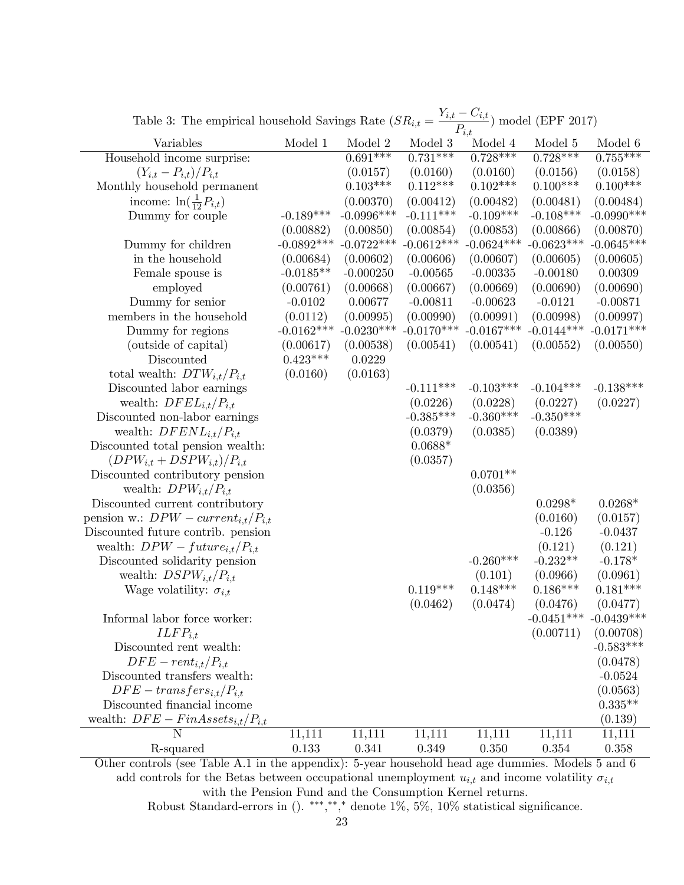| rable $\sigma$ . The empirical household bayings reace ( $\sigma r_{i,t}$ ) |              |              |              | $P_{i,t}$    | $1$ moder (LIT 2011)      |               |
|-----------------------------------------------------------------------------|--------------|--------------|--------------|--------------|---------------------------|---------------|
| Variables                                                                   | Model 1      | Model 2      | Model 3      | Model 4      | Model 5                   | Model 6       |
| Household income surprise:                                                  |              | $0.691***$   | $0.731***$   | $0.728***$   | $0.728***$                | $0.755***$    |
| $(Y_{i,t} - P_{i,t})/P_{i,t}$                                               |              | (0.0157)     | (0.0160)     | (0.0160)     | (0.0156)                  | (0.0158)      |
| Monthly household permanent                                                 |              | $0.103***$   | $0.112***$   | $0.102***$   | $0.100***$                | $0.100***$    |
| income: $\ln(\frac{1}{12}P_{i,t})$                                          |              | (0.00370)    | (0.00412)    | (0.00482)    | (0.00481)                 | (0.00484)     |
| Dummy for couple                                                            | $-0.189***$  | $-0.0996***$ | $-0.111***$  | $-0.109***$  | $-0.108***$               | $-0.0990$ *** |
|                                                                             | (0.00882)    | (0.00850)    | (0.00854)    | (0.00853)    | (0.00866)                 | (0.00870)     |
| Dummy for children                                                          | $-0.0892***$ | $-0.0722***$ | $-0.0612***$ | $-0.0624***$ | $-0.0623***$              | $-0.0645***$  |
| in the household                                                            | (0.00684)    | (0.00602)    | (0.00606)    | (0.00607)    | (0.00605)                 | (0.00605)     |
| Female spouse is                                                            | $-0.0185**$  | $-0.000250$  | $-0.00565$   | $-0.00335$   | $-0.00180$                | 0.00309       |
| employed                                                                    | (0.00761)    | (0.00668)    | (0.00667)    | (0.00669)    | (0.00690)                 | (0.00690)     |
| Dummy for senior                                                            | $-0.0102$    | 0.00677      | $-0.00811$   | $-0.00623$   | $-0.0121$                 | $-0.00871$    |
| members in the household                                                    | (0.0112)     | (0.00995)    | (0.00990)    | (0.00991)    | (0.00998)                 | (0.00997)     |
| Dummy for regions                                                           | $-0.0162***$ | $-0.0230***$ | $-0.0170***$ | $-0.0167***$ | $-0.0144***$              | $-0.0171***$  |
| (outside of capital)                                                        | (0.00617)    | (0.00538)    | (0.00541)    | (0.00541)    | (0.00552)                 | (0.00550)     |
| Discounted                                                                  | $0.423***$   | 0.0229       |              |              |                           |               |
| total wealth: $DTW_{i,t}/P_{i,t}$                                           | (0.0160)     | (0.0163)     |              |              |                           |               |
| Discounted labor earnings                                                   |              |              | $-0.111***$  | $-0.103***$  | $-0.104***$               | $-0.138***$   |
| wealth: $DFEL_{i,t}/P_{i,t}$                                                |              |              | (0.0226)     | (0.0228)     | (0.0227)                  | (0.0227)      |
| Discounted non-labor earnings                                               |              |              | $-0.385***$  | $-0.360***$  | $-0.350***$               |               |
| wealth: $DFENL_{i,t}/P_{i,t}$                                               |              |              | (0.0379)     | (0.0385)     | (0.0389)                  |               |
| Discounted total pension wealth:                                            |              |              | $0.0688*$    |              |                           |               |
| $(DPW_{i,t} + DSPW_{i,t})/P_{i,t}$                                          |              |              | (0.0357)     |              |                           |               |
| Discounted contributory pension                                             |              |              |              | $0.0701**$   |                           |               |
| wealth: $DPW_{i,t}/P_{i,t}$                                                 |              |              |              | (0.0356)     |                           |               |
| Discounted current contributory                                             |              |              |              |              | $0.0298*$                 | $0.0268*$     |
| pension w.: $DPW$ – $current_{i,t}/P_{i,t}$                                 |              |              |              |              | (0.0160)                  | (0.0157)      |
| Discounted future contrib. pension                                          |              |              |              |              | $-0.126$                  | $-0.0437$     |
| wealth: $DPW - future_{i,t}/P_{i,t}$                                        |              |              |              |              | (0.121)                   | (0.121)       |
| Discounted solidarity pension                                               |              |              |              | $-0.260***$  | $-0.232**$                | $-0.178*$     |
| wealth: $DSPW_{i,t}/P_{i,t}$                                                |              |              |              | (0.101)      | (0.0966)                  | (0.0961)      |
| Wage volatility: $\sigma_{i,t}$                                             |              |              | $0.119***$   | $0.148***$   | $0.186***$                | $0.181***$    |
|                                                                             |              |              | (0.0462)     | (0.0474)     | (0.0476)                  | (0.0477)      |
| Informal labor force worker:                                                |              |              |              |              | $-0.0451***$ $-0.0439***$ |               |
| $ILFP_{i.t}$                                                                |              |              |              |              | (0.00711)                 | (0.00708)     |
| Discounted rent wealth:                                                     |              |              |              |              |                           | $-0.583***$   |
| $DFE-rent_{i,t}/P_{i,t}$                                                    |              |              |              |              |                           | (0.0478)      |
| Discounted transfers wealth:                                                |              |              |              |              |                           | $-0.0524$     |
| $DFE - transfers_{i,t}/P_{i,t}$                                             |              |              |              |              |                           | (0.0563)      |
| Discounted financial income                                                 |              |              |              |              |                           | $0.335**$     |
| wealth: $DFE - FinAssets_{i,t}/P_{i,t}$                                     |              |              |              |              |                           | (0.139)       |
| $\mathbf N$                                                                 | 11,111       | 11,111       | 11,111       | 11,111       | 11,111                    | 11,111        |
| R-squared                                                                   | 0.133        | 0.341        | 0.349        | 0.350        | 0.354                     | 0.358         |
|                                                                             |              |              |              |              |                           |               |

Table 3: The empirical household Savings Rate  $(SR_{i,t} = \frac{Y_{i,t} - C_{i,t}}{R})$  $\frac{C_{i,t}}{P_{i,t}}$ ) model (EPF 2017)

Other controls (see Table A.1 in the appendix): 5-year household head age dummies. Models 5 and 6 add controls for the Betas between occupational unemployment  $u_{i,t}$  and income volatility  $\sigma_{i,t}$ with the Pension Fund and the Consumption Kernel returns.

Robust Standard-errors in (). \*\*\*,\*\*,\* denote  $1\%$ ,  $5\%$ ,  $10\%$  statistical significance.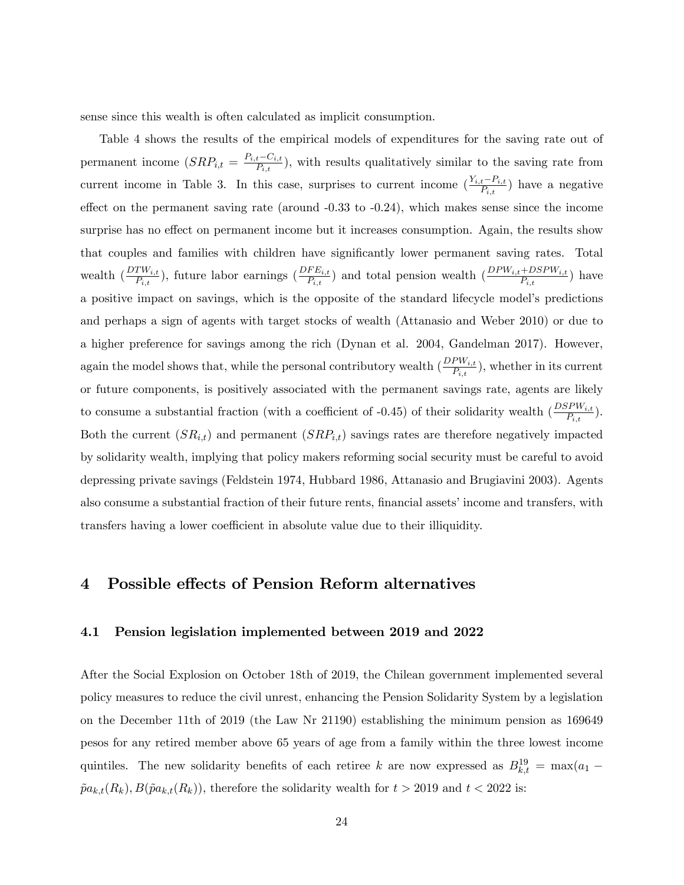sense since this wealth is often calculated as implicit consumption.

Table 4 shows the results of the empirical models of expenditures for the saving rate out of permanent income  $(SRP_{i,t} = \frac{P_{i,t} - C_{i,t}}{P_{i,t}})$ , with results qualitatively similar to the saving rate from current income in Table 3. In this case, surprises to current income  $(\frac{Y_{i,t}-P_{i,t}}{P_{i,t}})$  have a negative effect on the permanent saving rate (around  $-0.33$  to  $-0.24$ ), which makes sense since the income surprise has no effect on permanent income but it increases consumption. Again, the results show that couples and families with children have significantly lower permanent saving rates. Total wealth  $\left(\frac{DTW_{i,t}}{P_{i,t}}\right)$ , future labor earnings  $\left(\frac{DFE_{i,t}}{P_{i,t}}\right)$  and total pension wealth  $\left(\frac{DPW_{i,t}+DSPW_{i,t}}{P_{i,t}}\right)$  have a positive impact on savings, which is the opposite of the standard lifecycle modelís predictions and perhaps a sign of agents with target stocks of wealth (Attanasio and Weber 2010) or due to a higher preference for savings among the rich (Dynan et al. 2004, Gandelman 2017). However, again the model shows that, while the personal contributory wealth  $(\frac{DPW_{i,t}}{P_{i,t}})$ , whether in its current or future components, is positively associated with the permanent savings rate, agents are likely to consume a substantial fraction (with a coefficient of -0.45) of their solidarity wealth  $(\frac{DSPW_{i,t}}{P_{i,t}})$ . Both the current  $(SR_{i,t})$  and permanent  $(SRP_{i,t})$  savings rates are therefore negatively impacted by solidarity wealth, implying that policy makers reforming social security must be careful to avoid depressing private savings (Feldstein 1974, Hubbard 1986, Attanasio and Brugiavini 2003). Agents also consume a substantial fraction of their future rents, financial assets' income and transfers, with transfers having a lower coefficient in absolute value due to their illiquidity.

## 4 Possible effects of Pension Reform alternatives

## 4.1 Pension legislation implemented between 2019 and 2022

After the Social Explosion on October 18th of 2019, the Chilean government implemented several policy measures to reduce the civil unrest, enhancing the Pension Solidarity System by a legislation on the December 11th of 2019 (the Law Nr 21190) establishing the minimum pension as 169649 pesos for any retired member above 65 years of age from a family within the three lowest income quintiles. The new solidarity benefits of each retiree k are now expressed as  $B^{19}_{k,t} = \max(a_1 \tilde{p}a_{k,t}(R_k), B(\tilde{p}a_{k,t}(R_k))$ , therefore the solidarity wealth for  $t > 2019$  and  $t < 2022$  is: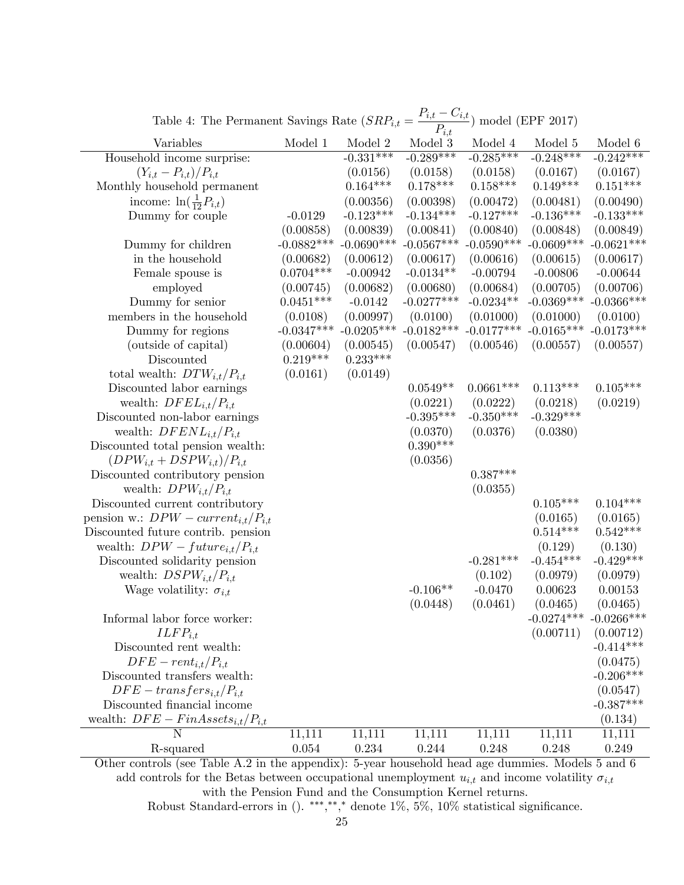| Lable 4. The Fermanent Savings Rate (SRF $i,t$ ) |              |              | $\qquad \qquad \longleftarrow$<br>$P_{i,t}$ | .) moder (ET 1. 2011) |                           |                 |
|--------------------------------------------------|--------------|--------------|---------------------------------------------|-----------------------|---------------------------|-----------------|
| Variables                                        | Model 1      | Model 2      | Model 3                                     | Model 4               | Model 5                   | Model 6         |
| Household income surprise:                       |              | $-0.331***$  | $-0.289***$                                 | $-0.285***$           | $-0.248***$               | $-0.242***$     |
| $(Y_{i,t} - P_{i,t})/P_{i,t}$                    |              | (0.0156)     | (0.0158)                                    | (0.0158)              | (0.0167)                  | (0.0167)        |
| Monthly household permanent                      |              | $0.164***$   | $0.178***$                                  | $0.158***$            | $0.149***$                | $0.151^{***}\,$ |
| income: $\ln(\frac{1}{12}P_{i,t})$               |              | (0.00356)    | (0.00398)                                   | (0.00472)             | (0.00481)                 | (0.00490)       |
| Dummy for couple                                 | $-0.0129$    | $-0.123***$  | $-0.134***$                                 | $-0.127***$           | $-0.136***$               | $-0.133***$     |
|                                                  | (0.00858)    | (0.00839)    | (0.00841)                                   | (0.00840)             | (0.00848)                 | (0.00849)       |
| Dummy for children                               | $-0.0882***$ | $-0.0690***$ | $-0.0567***$                                | $-0.0590***$          | $-0.0609***$              | $-0.0621***$    |
| in the household                                 | (0.00682)    | (0.00612)    | (0.00617)                                   | (0.00616)             | (0.00615)                 | (0.00617)       |
| Female spouse is                                 | $0.0704***$  | $-0.00942$   | $-0.0134**$                                 | $-0.00794$            | $-0.00806$                | $-0.00644$      |
| employed                                         | (0.00745)    | (0.00682)    | (0.00680)                                   | (0.00684)             | (0.00705)                 | (0.00706)       |
| Dummy for senior                                 | $0.0451***$  | $-0.0142$    | $-0.0277***$                                | $-0.0234**$           | $-0.0369***$ $-0.0366***$ |                 |
| members in the household                         | (0.0108)     | (0.00997)    | (0.0100)                                    | (0.01000)             | (0.01000)                 | (0.0100)        |
| Dummy for regions                                | $-0.0347***$ | $-0.0205***$ | $-0.0182***$                                | $-0.0177***$          | $-0.0165***$              | $-0.0173***$    |
| (outside of capital)                             | (0.00604)    | (0.00545)    | (0.00547)                                   | (0.00546)             | (0.00557)                 | (0.00557)       |
| Discounted                                       | $0.219***$   | $0.233***$   |                                             |                       |                           |                 |
| total wealth: $DTW_{i,t}/P_{i,t}$                | (0.0161)     | (0.0149)     |                                             |                       |                           |                 |
| Discounted labor earnings                        |              |              | $0.0549**$                                  | $0.0661***$           | $0.113***$                | $0.105***$      |
| wealth: $DFEL_{i,t}/P_{i,t}$                     |              |              | (0.0221)                                    | (0.0222)              | (0.0218)                  | (0.0219)        |
| Discounted non-labor earnings                    |              |              | $-0.395***$                                 | $-0.350***$           | $-0.329***$               |                 |
| wealth: $DFENL_{i,t}/P_{i,t}$                    |              |              | (0.0370)                                    | (0.0376)              | (0.0380)                  |                 |
| Discounted total pension wealth:                 |              |              | $0.390***$                                  |                       |                           |                 |
| $(DPW_{i,t} + DSPW_{i,t})/P_{i,t}$               |              |              | (0.0356)                                    |                       |                           |                 |
| Discounted contributory pension                  |              |              |                                             | $0.387***$            |                           |                 |
| wealth: $DPW_{i,t}/P_{i,t}$                      |              |              |                                             | (0.0355)              |                           |                 |
| Discounted current contributory                  |              |              |                                             |                       | $0.105***$                | $0.104***$      |
| pension w.: $DPW$ – $current_{i,t}/P_{i,t}$      |              |              |                                             |                       | (0.0165)                  | (0.0165)        |
| Discounted future contrib. pension               |              |              |                                             |                       | $0.514***$                | $0.542***$      |
| wealth: $DPW - future_{i,t}/P_{i,t}$             |              |              |                                             |                       | (0.129)                   | (0.130)         |
| Discounted solidarity pension                    |              |              |                                             | $-0.281***$           | $-0.454***$               | $-0.429***$     |
| wealth: $DSPW_{i,t}/P_{i,t}$                     |              |              |                                             | (0.102)               | (0.0979)                  | (0.0979)        |
| Wage volatility: $\sigma_{i,t}$                  |              |              | $-0.106**$                                  | $-0.0470$             | 0.00623                   | 0.00153         |
|                                                  |              |              | (0.0448)                                    | (0.0461)              | (0.0465)                  | (0.0465)        |
| Informal labor force worker:                     |              |              |                                             |                       | $-0.0274***$              | $-0.0266***$    |
| $ILFP_{i,t}$                                     |              |              |                                             |                       | (0.00711)                 | (0.00712)       |
| Discounted rent wealth:                          |              |              |                                             |                       |                           | $-0.414***$     |
| $DFE-rent_{i,t}/P_{i,t}$                         |              |              |                                             |                       |                           | (0.0475)        |
| Discounted transfers wealth:                     |              |              |                                             |                       |                           | $-0.206***$     |
| $DFE - transfers_{i,t}/P_{i,t}$                  |              |              |                                             |                       |                           | (0.0547)        |
| Discounted financial income                      |              |              |                                             |                       |                           | $-0.387***$     |
| wealth: $DFE - FinAssets_{i,t}/P_{i,t}$          |              |              |                                             |                       |                           | (0.134)         |
| $\mathbf N$                                      | 11,111       | 11,111       | 11,111                                      | 11,111                | 11,111                    | 11,111          |
| R-squared                                        | $0.054\,$    | 0.234        | 0.244                                       | 0.248                 | 0.248                     | 0.249           |
|                                                  |              |              |                                             |                       |                           |                 |

Table 4: The Permanent Savings Rate  $(SRP_{i,t} = \frac{P_{i,t} - C_{i,t}}{P_{i,t}})$  model (EPF 2017)

Other controls (see Table A.2 in the appendix): 5-year household head age dummies. Models 5 and 6 add controls for the Betas between occupational unemployment  $u_{i,t}$  and income volatility  $\sigma_{i,t}$ with the Pension Fund and the Consumption Kernel returns.

Robust Standard-errors in (). \*\*\*,\*\*,\* denote  $1\%$ ,  $5\%$ ,  $10\%$  statistical significance.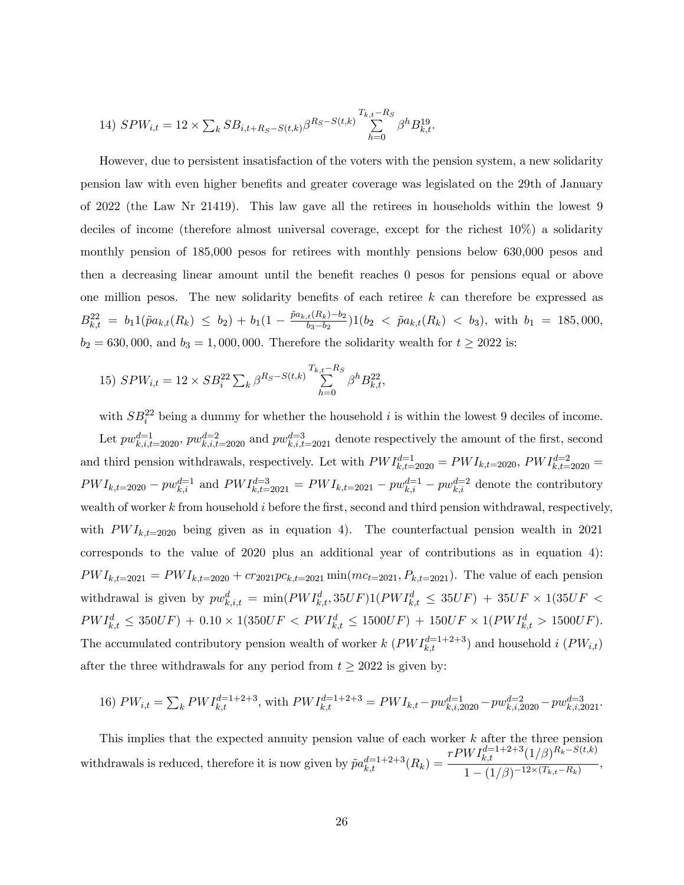14) 
$$
SPW_{i,t} = 12 \times \sum_{k} SB_{i,t+R_S-S(t,k)} \beta^{R_S-S(t,k)} \sum_{h=0}^{T_{k,t}-R_S} \beta^h B_{k,t}^{19}
$$
.

However, due to persistent insatisfaction of the voters with the pension system, a new solidarity pension law with even higher benefits and greater coverage was legislated on the 29th of January of 2022 (the Law Nr 21419). This law gave all the retirees in households within the lowest 9 deciles of income (therefore almost universal coverage, except for the richest 10%) a solidarity monthly pension of 185,000 pesos for retirees with monthly pensions below 630,000 pesos and then a decreasing linear amount until the benefit reaches 0 pesos for pensions equal or above one million pesos. The new solidarity benefits of each retiree  $k$  can therefore be expressed as  $B^{22}_{k,t} = b_1 1(\tilde{p} a_{k,t}(R_k) \leq b_2) + b_1(1 - \frac{\tilde{p} a_{k,t}(R_k) - b_2}{b_3 - b_2})$  $\frac{b_1h_2(b_2-b_2)}{b_3-b_2}$ )1( $b_2 < \tilde{p}a_{k,t}(R_k) < b_3$ ), with  $b_1 = 185,000$ ,  $b_2 = 630,000,$  and  $b_3 = 1,000,000.$  Therefore the solidarity wealth for  $t \geq 2022$  is:

15) 
$$
SPW_{i,t} = 12 \times SB_i^{22} \sum_k \beta^{R_S - S(t,k)} \sum_{h=0}^{T_{k,t} - R_S} \beta^h B_{k,t}^{22},
$$

with  $SB_i^{22}$  being a dummy for whether the household i is within the lowest 9 deciles of income. Let  $pw_{k,i,t=2020}^{d=1}$ ,  $pw_{k,i,t=2020}^{d=2}$  and  $pw_{k,i,t=2021}^{d=3}$  denote respectively the amount of the first, second and third pension withdrawals, respectively. Let with  $PWI_{k,t=2020}^{d=1} = PWI_{k,t=2020}$ ,  $PWI_{k,t=2020}^{d=2}$  $PWI_{k,t=2020} - pw_{k,i}^{d=1}$  and  $PWI_{k,t=2021}^{d=3} = PWI_{k,t=2021} - pw_{k,i}^{d=1} - pw_{k,i}^{d=2}$  denote the contributory wealth of worker  $k$  from household  $i$  before the first, second and third pension withdrawal, respectively, with  $PWI_{k,t=2020}$  being given as in equation 4). The counterfactual pension wealth in 2021 corresponds to the value of 2020 plus an additional year of contributions as in equation 4):  $PWI_{k,t=2021} = PWI_{k,t=2020} + cr_{2021}pc_{k,t=2021} \min(mc_{t=2021}, P_{k,t=2021})$ . The value of each pension withdrawal is given by  $pw_{k,i,t}^d = \min(PWI_{k,t}^d, 35UF)1(PWI_{k,t}^d \leq 35UF) + 35UF \times 1(35UF \leq 35UF)$  $PWI_{k,t}^d \leq 350UF + 0.10 \times 1(350UF < PWI_{k,t}^d \leq 1500UF) + 150UF \times 1(PWI_{k,t}^d > 1500UF).$ The accumulated contributory pension wealth of worker  $k$   $(PWI_{k,t}^{d=1+2+3})$  and household  $i$   $(PW_{i,t})$ after the three withdrawals for any period from  $t \geq 2022$  is given by:

16) 
$$
PW_{i,t} = \sum_{k} PWI_{k,t}^{d=1+2+3}
$$
, with  $PWI_{k,t}^{d=1+2+3} = PWI_{k,t} - pw_{k,i,2020}^{d=1} - pw_{k,i,2020}^{d=2} - pw_{k,i,2021}^{d=3}$ .

This implies that the expected annuity pension value of each worker k after the three pension withdrawals is reduced, therefore it is now given by  $\tilde{p}a_{k,t}^{d=1+2+3}(R_k)$  $rPWI_{k,t}^{d=1+2+3}(1/\beta)^{R_k-S(t,k)}$  $\frac{\kappa_{k}t}{1-(1/\beta)^{-12\times(T_{k,t}-R_{k})}},$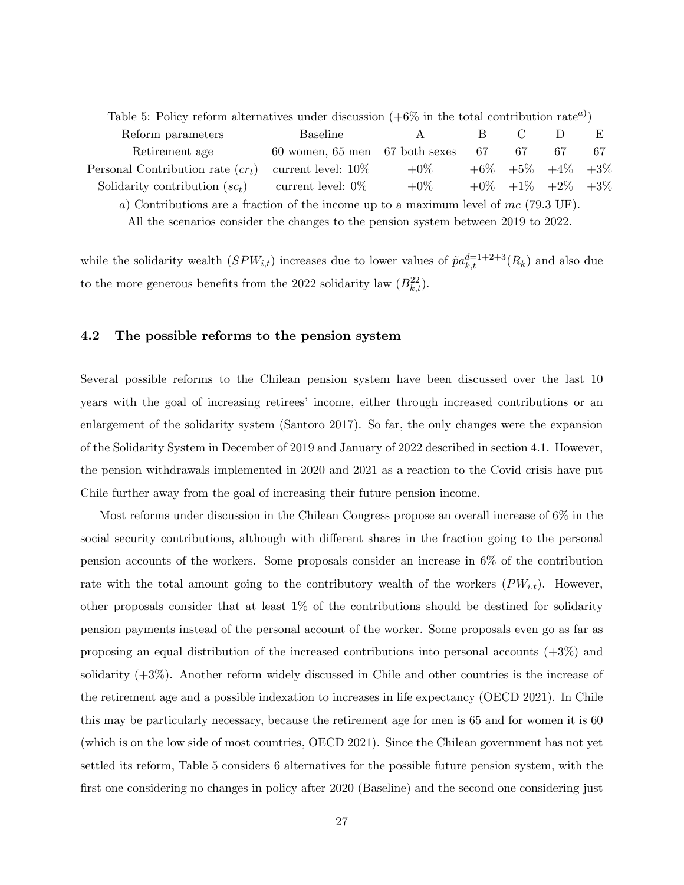| Table 0. Toncy reform alternatives under discussion $(\pm 0.00)$ in the total contribution rate $\tau$ ) |                                      |        |    |                      |  |        |  |  |  |  |
|----------------------------------------------------------------------------------------------------------|--------------------------------------|--------|----|----------------------|--|--------|--|--|--|--|
| Reform parameters                                                                                        | Baseline                             |        |    |                      |  | E      |  |  |  |  |
| Retirement age                                                                                           | $60$ women, $65$ men $67$ both sexes |        | 67 | 67                   |  |        |  |  |  |  |
| Personal Contribution rate $(c r_t)$                                                                     | current level: $10\%$                | $+0\%$ |    | $+6\%$ $+5\%$ $+4\%$ |  | $+3\%$ |  |  |  |  |
| Solidarity contribution $(sc_t)$                                                                         | current level: $0\%$                 | $+0\%$ |    | $+0\%$ $+1\%$ $+2\%$ |  | $+3\%$ |  |  |  |  |

Table 5: Policy reform alternatives under discussion  $(+6\%$  in the total contribution rate<sup>a</sup>)

a) Contributions are a fraction of the income up to a maximum level of mc (79.3 UF). All the scenarios consider the changes to the pension system between 2019 to 2022.

while the solidarity wealth  $(SPW_{i,t})$  increases due to lower values of  $\tilde{p}a_{k,t}^{d=1+2+3}(R_k)$  and also due to the more generous benefits from the 2022 solidarity law  $(B_{k,t}^{22})$ .

#### 4.2 The possible reforms to the pension system

Several possible reforms to the Chilean pension system have been discussed over the last 10 years with the goal of increasing retirees' income, either through increased contributions or an enlargement of the solidarity system (Santoro 2017). So far, the only changes were the expansion of the Solidarity System in December of 2019 and January of 2022 described in section 4.1. However, the pension withdrawals implemented in 2020 and 2021 as a reaction to the Covid crisis have put Chile further away from the goal of increasing their future pension income.

Most reforms under discussion in the Chilean Congress propose an overall increase of 6% in the social security contributions, although with different shares in the fraction going to the personal pension accounts of the workers. Some proposals consider an increase in 6% of the contribution rate with the total amount going to the contributory wealth of the workers  $(PW_{i,t})$ . However, other proposals consider that at least  $1\%$  of the contributions should be destined for solidarity pension payments instead of the personal account of the worker. Some proposals even go as far as proposing an equal distribution of the increased contributions into personal accounts  $(+3\%)$  and solidarity (+3%). Another reform widely discussed in Chile and other countries is the increase of the retirement age and a possible indexation to increases in life expectancy (OECD 2021). In Chile this may be particularly necessary, because the retirement age for men is 65 and for women it is 60 (which is on the low side of most countries, OECD 2021). Since the Chilean government has not yet settled its reform, Table 5 considers 6 alternatives for the possible future pension system, with the first one considering no changes in policy after 2020 (Baseline) and the second one considering just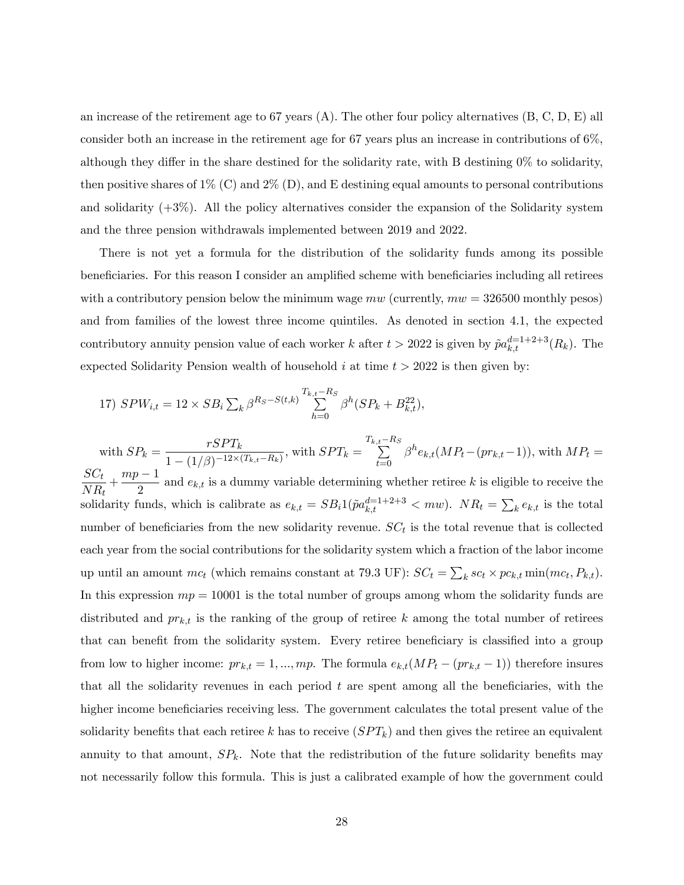an increase of the retirement age to 67 years (A). The other four policy alternatives (B, C, D, E) all consider both an increase in the retirement age for 67 years plus an increase in contributions of  $6\%$ , although they differ in the share destined for the solidarity rate, with B destining  $0\%$  to solidarity, then positive shares of  $1\%$  (C) and  $2\%$  (D), and E destining equal amounts to personal contributions and solidarity  $(+3\%)$ . All the policy alternatives consider the expansion of the Solidarity system and the three pension withdrawals implemented between 2019 and 2022.

There is not yet a formula for the distribution of the solidarity funds among its possible beneficiaries. For this reason I consider an amplified scheme with beneficiaries including all retirees with a contributory pension below the minimum wage  $mw$  (currently,  $mw = 326500$  monthly pesos) and from families of the lowest three income quintiles. As denoted in section 4.1, the expected contributory annuity pension value of each worker k after  $t > 2022$  is given by  $\tilde{p}a_{k,t}^{d=1+2+3}(R_k)$ . The expected Solidarity Pension wealth of household i at time  $t > 2022$  is then given by:

17) 
$$
SPW_{i,t} = 12 \times SB_i \sum_{k} \beta^{R_S - S(t,k)} \sum_{h=0}^{T_{k,t} - R_S} \beta^h (SP_k + B_{k,t}^{22}),
$$

with  $SP_k = \frac{rSPT_k}{1 - (1/\alpha) - 12\times t}$  $\frac{1}{1-(1/\beta)^{-12 \times (T_{k,t}-R_k)}}$ , with  $SPT_k =$  $T_{k,t} - R_S$  $t=0$  $\beta^{h}e_{k,t}(MP_t-(pr_{k,t}-1)),$  with  $MP_t =$  $SC_t$  $\frac{SC_t}{NR_t} + \frac{mp-1}{2}$  $\frac{1}{2}$  and  $e_{k,t}$  is a dummy variable determining whether retiree k is eligible to receive the solidarity funds, which is calibrate as  $e_{k,t} = SB_i 1(\tilde{p}a_{k,t}^{d=1+2+3} < mv)$ .  $NR_t = \sum_k e_{k,t}$  is the total number of beneficiaries from the new solidarity revenue.  $SC_t$  is the total revenue that is collected each year from the social contributions for the solidarity system which a fraction of the labor income up until an amount  $mc_t$  (which remains constant at 79.3 UF):  $SC_t = \sum_k sc_t \times pc_{k,t} \min(mc_t, P_{k,t})$ . In this expression  $mp = 10001$  is the total number of groups among whom the solidarity funds are distributed and  $pr_{k,t}$  is the ranking of the group of retiree k among the total number of retirees that can benefit from the solidarity system. Every retiree beneficiary is classified into a group from low to higher income:  $pr_{k,t} = 1, ..., mp$ . The formula  $e_{k,t}(MP_t - (pr_{k,t} - 1))$  therefore insures that all the solidarity revenues in each period  $t$  are spent among all the beneficiaries, with the higher income beneficiaries receiving less. The government calculates the total present value of the solidarity benefits that each retiree k has to receive  $(SPT_k)$  and then gives the retiree an equivalent annuity to that amount,  $SP_k$ . Note that the redistribution of the future solidarity benefits may not necessarily follow this formula. This is just a calibrated example of how the government could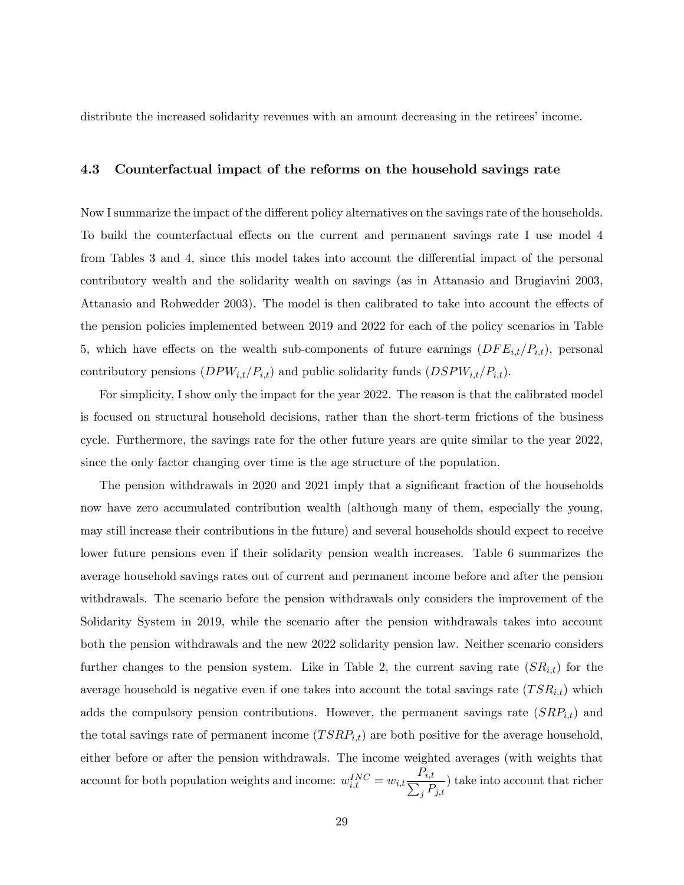distribute the increased solidarity revenues with an amount decreasing in the retirees' income.

## 4.3 Counterfactual impact of the reforms on the household savings rate

Now I summarize the impact of the different policy alternatives on the savings rate of the households. To build the counterfactual effects on the current and permanent savings rate I use model 4 from Tables 3 and 4, since this model takes into account the differential impact of the personal contributory wealth and the solidarity wealth on savings (as in Attanasio and Brugiavini 2003, Attanasio and Rohwedder 2003). The model is then calibrated to take into account the effects of the pension policies implemented between 2019 and 2022 for each of the policy scenarios in Table 5, which have effects on the wealth sub-components of future earnings  $(DFE_{i,t}/P_{i,t})$ , personal contributory pensions  $(DPW_{i,t}/P_{i,t})$  and public solidarity funds  $(DSPW_{i,t}/P_{i,t}).$ 

For simplicity, I show only the impact for the year 2022. The reason is that the calibrated model is focused on structural household decisions, rather than the short-term frictions of the business cycle. Furthermore, the savings rate for the other future years are quite similar to the year 2022, since the only factor changing over time is the age structure of the population.

The pension withdrawals in 2020 and 2021 imply that a significant fraction of the households now have zero accumulated contribution wealth (although many of them, especially the young, may still increase their contributions in the future) and several households should expect to receive lower future pensions even if their solidarity pension wealth increases. Table 6 summarizes the average household savings rates out of current and permanent income before and after the pension withdrawals. The scenario before the pension withdrawals only considers the improvement of the Solidarity System in 2019, while the scenario after the pension withdrawals takes into account both the pension withdrawals and the new 2022 solidarity pension law. Neither scenario considers further changes to the pension system. Like in Table 2, the current saving rate  $(SR_{i,t})$  for the average household is negative even if one takes into account the total savings rate  $(TSR_{i,t})$  which adds the compulsory pension contributions. However, the permanent savings rate  $(SRP_{i,t})$  and the total savings rate of permanent income  $(TSRP_{i,t})$  are both positive for the average household, either before or after the pension withdrawals. The income weighted averages (with weights that account for both population weights and income:  $w_{i,t}^{INC} = w_{i,t} \frac{P_{i,t}}{\sum_i P_{i,t}}$  $\frac{i}{j} \frac{P_{j,t}}{P_{j,t}}$  take into account that richer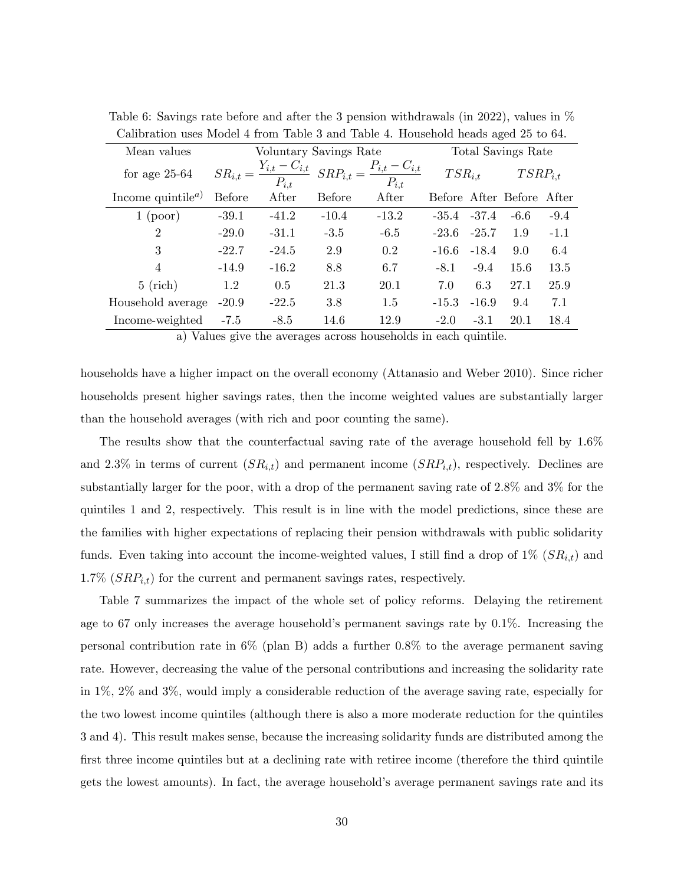| Mean values                          |               | Voluntary Savings Rate           |               | Total Savings Rate             |                 |         |                           |        |
|--------------------------------------|---------------|----------------------------------|---------------|--------------------------------|-----------------|---------|---------------------------|--------|
| for age $25-64$                      | $SR_{i,t} =$  | $Y_{i,t} - C_{i,t}$<br>$P_{i,t}$ | $SRP_{i,t} =$ | $P_{i,t}-C_{i,t}$<br>$P_{i,t}$ | $TSR_{i,t}$     |         | $TSRP_{i,t}$              |        |
| Income quintile <sup><i>a</i>)</sup> | <b>Before</b> | After                            | <b>Before</b> | After                          |                 |         | Before After Before After |        |
| $1$ (poor)                           | $-39.1$       | $-41.2$                          | $-10.4$       | $-13.2$                        | $-35.4$ $-37.4$ |         | $-6.6$                    | $-9.4$ |
| $\overline{2}$                       | $-29.0$       | $-31.1$                          | $-3.5$        | $-6.5$                         | $-23.6$         | $-25.7$ | 1.9                       | $-1.1$ |
| 3                                    | $-22.7$       | $-24.5$                          | 2.9           | 0.2                            | $-16.6$         | $-18.4$ | 9.0                       | 6.4    |
| $\overline{4}$                       | $-14.9$       | $-16.2$                          | 8.8           | 6.7                            | $-8.1$          | $-9.4$  | 15.6                      | 13.5   |
| $5$ (rich)                           | 1.2           | 0.5                              | 21.3          | 20.1                           | 7.0             | 6.3     | 27.1                      | 25.9   |
| Household average                    | $-20.9$       | $-22.5$                          | 3.8           | 1.5                            | $-15.3$         | $-16.9$ | 9.4                       | 7.1    |
| Income-weighted                      | $-7.5$        | $-8.5$                           | 14.6          | 12.9                           | $-2.0$          | $-3.1$  | 20.1                      | 18.4   |

Table 6: Savings rate before and after the 3 pension withdrawals (in 2022), values in % Calibration uses Model 4 from Table 3 and Table 4. Household heads aged 25 to 64.

a) Values give the averages across households in each quintile.

households have a higher impact on the overall economy (Attanasio and Weber 2010). Since richer households present higher savings rates, then the income weighted values are substantially larger than the household averages (with rich and poor counting the same).

The results show that the counterfactual saving rate of the average household fell by 1.6% and 2.3% in terms of current  $(SR_{i,t})$  and permanent income  $(SRP_{i,t})$ , respectively. Declines are substantially larger for the poor, with a drop of the permanent saving rate of 2.8% and 3% for the quintiles 1 and 2, respectively. This result is in line with the model predictions, since these are the families with higher expectations of replacing their pension withdrawals with public solidarity funds. Even taking into account the income-weighted values, I still find a drop of  $1\%$  ( $SR_{i,t}$ ) and 1.7%  $(SRP_{i,t})$  for the current and permanent savings rates, respectively.

Table 7 summarizes the impact of the whole set of policy reforms. Delaying the retirement age to 67 only increases the average household's permanent savings rate by  $0.1\%$ . Increasing the personal contribution rate in 6% (plan B) adds a further 0.8% to the average permanent saving rate. However, decreasing the value of the personal contributions and increasing the solidarity rate in 1%, 2% and 3%, would imply a considerable reduction of the average saving rate, especially for the two lowest income quintiles (although there is also a more moderate reduction for the quintiles 3 and 4). This result makes sense, because the increasing solidarity funds are distributed among the first three income quintiles but at a declining rate with retiree income (therefore the third quintile gets the lowest amounts). In fact, the average household's average permanent savings rate and its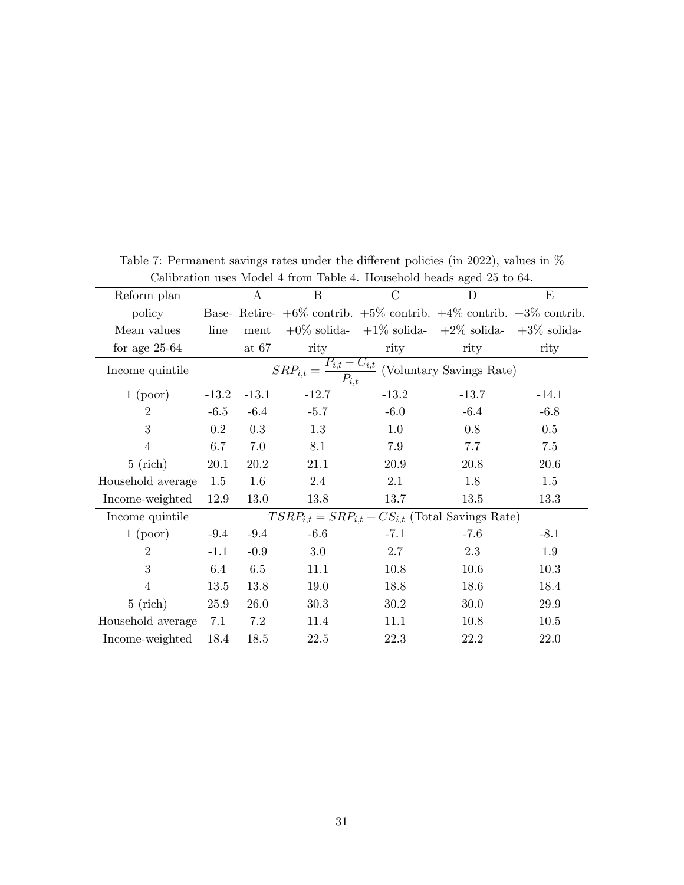| Camplation uses model + from Table +. Household heads aged 20 to 0+. |                                                                                     |             |         |                                                                              |         |          |  |  |  |
|----------------------------------------------------------------------|-------------------------------------------------------------------------------------|-------------|---------|------------------------------------------------------------------------------|---------|----------|--|--|--|
| Reform plan                                                          |                                                                                     | A           | B       | $\mathcal{C}$                                                                | D       | E        |  |  |  |
| policy                                                               |                                                                                     |             |         | Base-Retire- $+6\%$ contrib. $+5\%$ contrib. $+4\%$ contrib. $+3\%$ contrib. |         |          |  |  |  |
| Mean values                                                          | line                                                                                | ment        |         | $+0\%$ solida- $+1\%$ solida- $+2\%$ solida- $+3\%$ solida-                  |         |          |  |  |  |
| for age $25-64$                                                      |                                                                                     | at $67$     | rity    | rity                                                                         | rity    | rity     |  |  |  |
| Income quintile                                                      | $\overline{SRP_{i,t} = \frac{P_{i,t} - C_{i,t}}{P_{i,t}}}$ (Voluntary Savings Rate) |             |         |                                                                              |         |          |  |  |  |
| $1$ (poor)                                                           | $-13.2$                                                                             | $-13.1$     | $-12.7$ | $-13.2$                                                                      | $-13.7$ | $-14.1$  |  |  |  |
| $\overline{2}$                                                       | $-6.5$                                                                              | $-6.4$      | $-5.7$  | $-6.0$                                                                       | $-6.4$  | $-6.8$   |  |  |  |
| 3                                                                    | $0.2\,$                                                                             | 0.3         | $1.3\,$ | 1.0                                                                          | 0.8     | $0.5\,$  |  |  |  |
| $\overline{4}$                                                       | 6.7                                                                                 | 7.0         | 8.1     | 7.9                                                                          | 7.7     | 7.5      |  |  |  |
| $5$ (rich)                                                           | 20.1                                                                                | 20.2        | 21.1    | 20.9                                                                         | 20.8    | $20.6\,$ |  |  |  |
| Household average                                                    | $1.5\,$                                                                             | 1.6         | 2.4     | 2.1                                                                          | 1.8     | 1.5      |  |  |  |
| Income-weighted                                                      | 12.9                                                                                | 13.0        | 13.8    | 13.7                                                                         | 13.5    | 13.3     |  |  |  |
| Income quintile                                                      |                                                                                     |             |         | $TSRP_{i,t} = SRP_{i,t} + CS_{i,t}$ (Total Savings Rate)                     |         |          |  |  |  |
| $1$ (poor)                                                           | $-9.4$                                                                              | $-9.4$      | $-6.6$  | $-7.1$                                                                       | $-7.6$  | $-8.1$   |  |  |  |
| $\overline{2}$                                                       | $-1.1$                                                                              | $-0.9$      | 3.0     | 2.7                                                                          | 2.3     | 1.9      |  |  |  |
| 3                                                                    | 6.4                                                                                 | 6.5         | 11.1    | 10.8                                                                         | 10.6    | 10.3     |  |  |  |
| $\overline{4}$                                                       | 13.5                                                                                | 13.8        | 19.0    | 18.8                                                                         | 18.6    | 18.4     |  |  |  |
| $5$ (rich)                                                           | 25.9                                                                                | <b>26.0</b> | 30.3    | 30.2                                                                         | 30.0    | 29.9     |  |  |  |
| Household average                                                    | 7.1                                                                                 | 7.2         | 11.4    | 11.1                                                                         | 10.8    | 10.5     |  |  |  |
| Income-weighted                                                      | 18.4                                                                                | 18.5        | 22.5    | 22.3                                                                         | 22.2    | $22.0\,$ |  |  |  |

Table 7: Permanent savings rates under the different policies (in 2022), values in  $%$ Calibration uses Model 4 from Table 4. Household heads aged 25 to 64.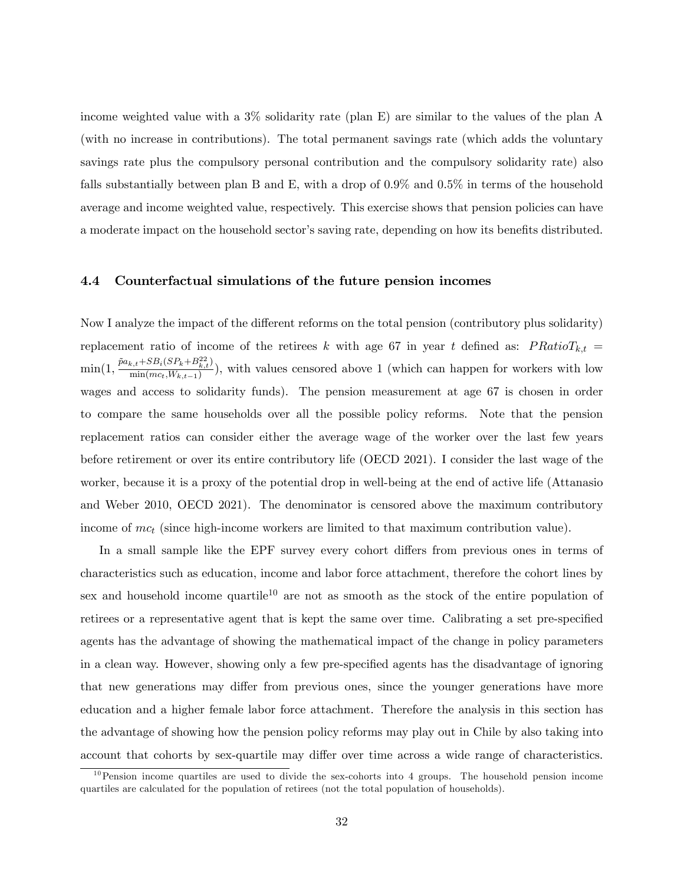income weighted value with a 3% solidarity rate (plan E) are similar to the values of the plan A (with no increase in contributions). The total permanent savings rate (which adds the voluntary savings rate plus the compulsory personal contribution and the compulsory solidarity rate) also falls substantially between plan B and E, with a drop of 0.9% and 0.5% in terms of the household average and income weighted value, respectively. This exercise shows that pension policies can have a moderate impact on the household sector's saving rate, depending on how its benefits distributed.

#### 4.4 Counterfactual simulations of the future pension incomes

Now I analyze the impact of the different reforms on the total pension (contributory plus solidarity) replacement ratio of income of the retirees k with age 67 in year t defined as:  $PRatioT_{k,t}$  =  $\min(1, \frac{\tilde{p}a_{k,t} + SB_i(SP_k + B_{k,t}^{22})}{\min(m_{k}, W_{k,t-1})})$  $\frac{\min(m_{c}, W_{k,t-1}, \mathcal{D}_{k,t})}{\min(m_{c}, W_{k,t-1})}$ , with values censored above 1 (which can happen for workers with low wages and access to solidarity funds). The pension measurement at age 67 is chosen in order to compare the same households over all the possible policy reforms. Note that the pension replacement ratios can consider either the average wage of the worker over the last few years before retirement or over its entire contributory life (OECD 2021). I consider the last wage of the worker, because it is a proxy of the potential drop in well-being at the end of active life (Attanasio and Weber 2010, OECD 2021). The denominator is censored above the maximum contributory income of  $mc_t$  (since high-income workers are limited to that maximum contribution value).

In a small sample like the EPF survey every cohort differs from previous ones in terms of characteristics such as education, income and labor force attachment, therefore the cohort lines by sex and household income quartile<sup>10</sup> are not as smooth as the stock of the entire population of retirees or a representative agent that is kept the same over time. Calibrating a set pre-specified agents has the advantage of showing the mathematical impact of the change in policy parameters in a clean way. However, showing only a few pre-specified agents has the disadvantage of ignoring that new generations may differ from previous ones, since the younger generations have more education and a higher female labor force attachment. Therefore the analysis in this section has the advantage of showing how the pension policy reforms may play out in Chile by also taking into account that cohorts by sex-quartile may differ over time across a wide range of characteristics.

 $10$ Pension income quartiles are used to divide the sex-cohorts into 4 groups. The household pension income quartiles are calculated for the population of retirees (not the total population of households).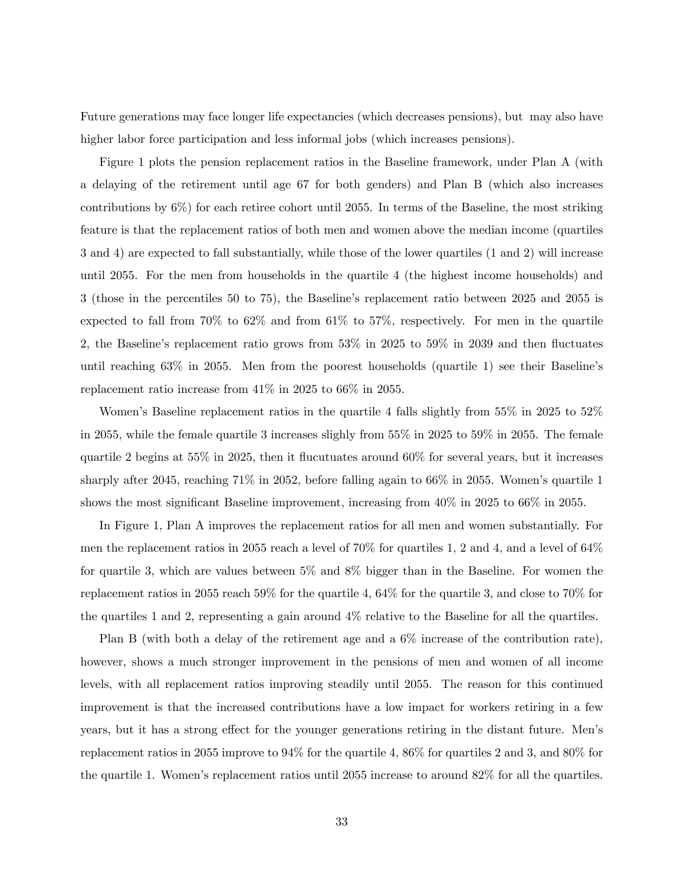Future generations may face longer life expectancies (which decreases pensions), but may also have higher labor force participation and less informal jobs (which increases pensions).

Figure 1 plots the pension replacement ratios in the Baseline framework, under Plan A (with a delaying of the retirement until age 67 for both genders) and Plan B (which also increases contributions by 6%) for each retiree cohort until 2055. In terms of the Baseline, the most striking feature is that the replacement ratios of both men and women above the median income (quartiles 3 and 4) are expected to fall substantially, while those of the lower quartiles (1 and 2) will increase until 2055. For the men from households in the quartile 4 (the highest income households) and 3 (those in the percentiles 50 to 75), the Baselineís replacement ratio between 2025 and 2055 is expected to fall from 70% to 62% and from 61% to 57%, respectively. For men in the quartile 2, the Baseline's replacement ratio grows from  $53\%$  in  $2025$  to  $59\%$  in 2039 and then fluctuates until reaching  $63\%$  in  $2055$ . Men from the poorest households (quartile 1) see their Baseline's replacement ratio increase from 41% in 2025 to 66% in 2055.

Women's Baseline replacement ratios in the quartile 4 falls slightly from  $55\%$  in 2025 to  $52\%$ in 2055, while the female quartile 3 increases slighly from 55% in 2025 to 59% in 2055. The female quartile 2 begins at 55% in 2025, then it flucutuates around  $60\%$  for several years, but it increases sharply after 2045, reaching 71% in 2052, before falling again to  $66\%$  in 2055. Women's quartile 1 shows the most significant Baseline improvement, increasing from  $40\%$  in  $2025$  to  $66\%$  in 2055.

In Figure 1, Plan A improves the replacement ratios for all men and women substantially. For men the replacement ratios in 2055 reach a level of 70% for quartiles 1, 2 and 4, and a level of 64% for quartile 3, which are values between 5% and 8% bigger than in the Baseline. For women the replacement ratios in 2055 reach 59% for the quartile 4, 64% for the quartile 3, and close to 70% for the quartiles 1 and 2, representing a gain around 4% relative to the Baseline for all the quartiles.

Plan B (with both a delay of the retirement age and a 6% increase of the contribution rate), however, shows a much stronger improvement in the pensions of men and women of all income levels, with all replacement ratios improving steadily until 2055. The reason for this continued improvement is that the increased contributions have a low impact for workers retiring in a few years, but it has a strong effect for the younger generations retiring in the distant future. Men's replacement ratios in 2055 improve to 94% for the quartile 4, 86% for quartiles 2 and 3, and 80% for the quartile 1. Women's replacement ratios until 2055 increase to around  $82\%$  for all the quartiles.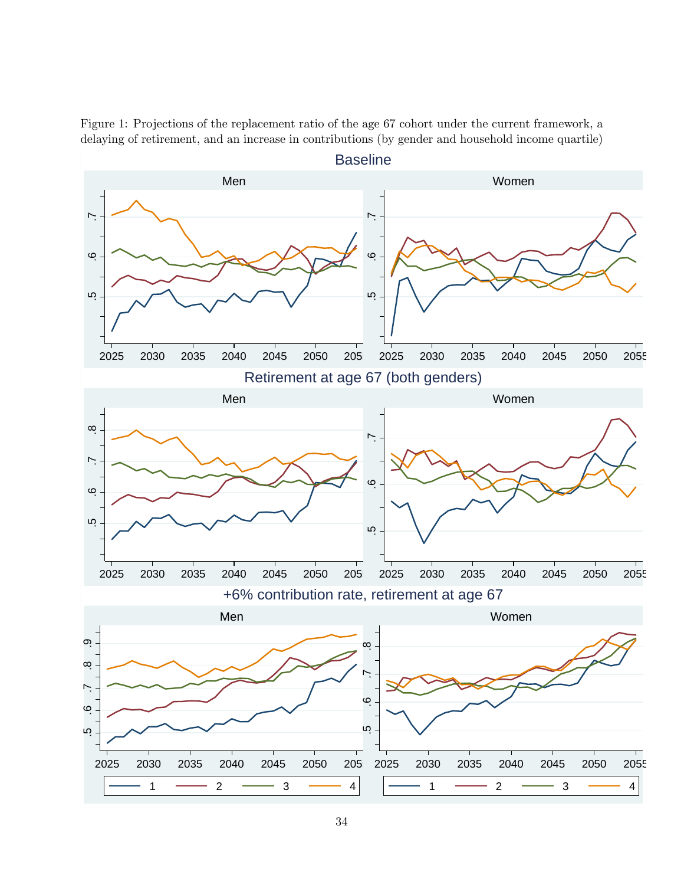Figure 1: Projections of the replacement ratio of the age 67 cohort under the current framework, a delaying of retirement, and an increase in contributions (by gender and household income quartile)

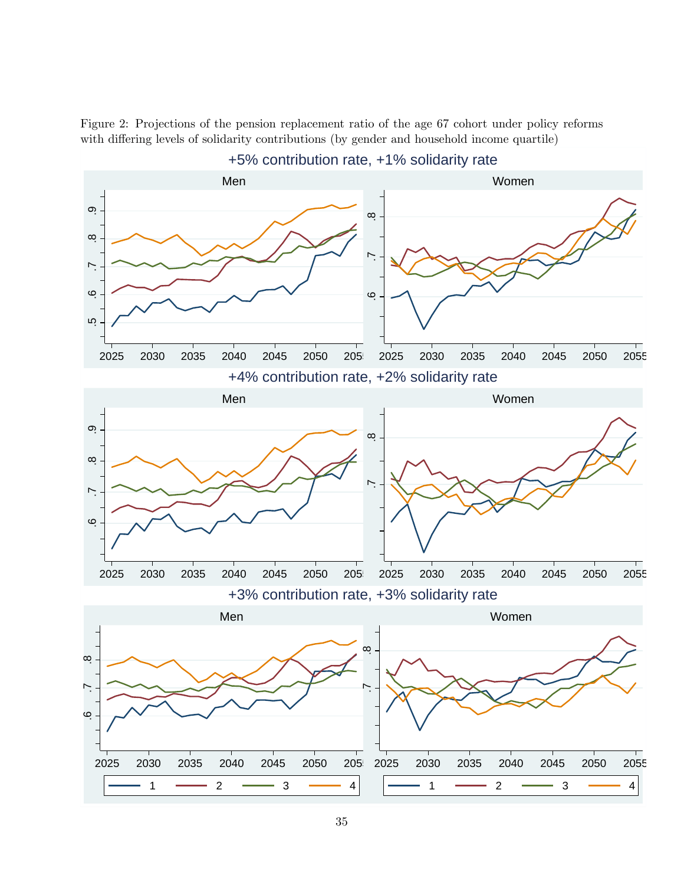

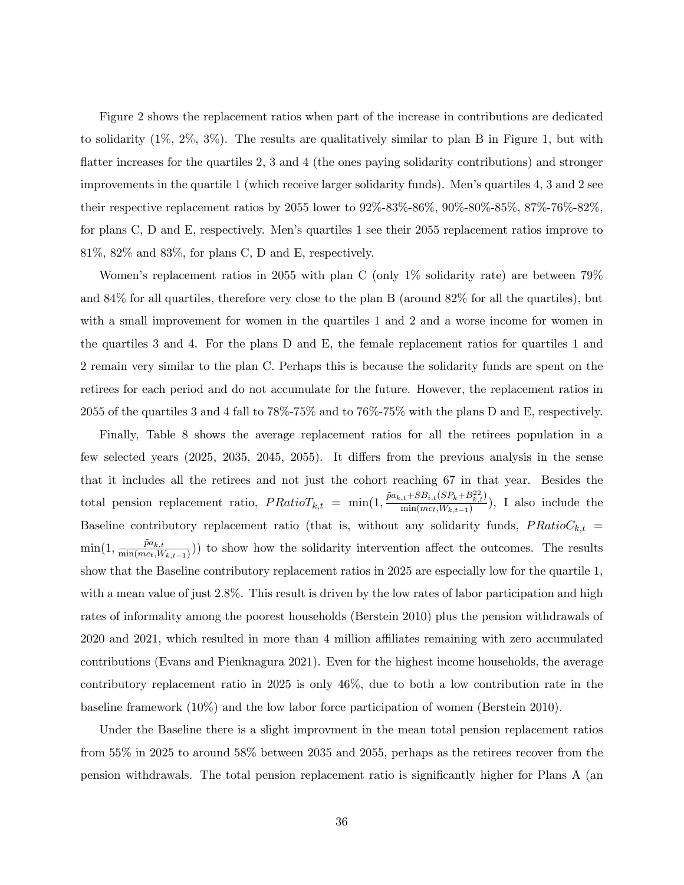Figure 2 shows the replacement ratios when part of the increase in contributions are dedicated to solidarity (1%, 2%, 3%). The results are qualitatively similar to plan B in Figure 1, but with flatter increases for the quartiles  $2, 3$  and  $4$  (the ones paying solidarity contributions) and stronger improvements in the quartile 1 (which receive larger solidarity funds). Men's quartiles 4, 3 and 2 see their respective replacement ratios by 2055 lower to 92%-83%-86%, 90%-80%-85%, 87%-76%-82%, for plans C, D and E, respectively. Menís quartiles 1 see their 2055 replacement ratios improve to 81%, 82% and 83%, for plans C, D and E, respectively.

Women's replacement ratios in 2055 with plan C (only 1\% solidarity rate) are between 79\% and 84% for all quartiles, therefore very close to the plan B (around 82% for all the quartiles), but with a small improvement for women in the quartiles 1 and 2 and a worse income for women in the quartiles 3 and 4. For the plans D and E, the female replacement ratios for quartiles 1 and 2 remain very similar to the plan C. Perhaps this is because the solidarity funds are spent on the retirees for each period and do not accumulate for the future. However, the replacement ratios in 2055 of the quartiles 3 and 4 fall to 78%-75% and to 76%-75% with the plans D and E, respectively.

Finally, Table 8 shows the average replacement ratios for all the retirees population in a few selected years  $(2025, 2035, 2045, 2055)$ . It differs from the previous analysis in the sense that it includes all the retirees and not just the cohort reaching 67 in that year. Besides the total pension replacement ratio,  $PRatioT_{k,t} = \min(1, \frac{\tilde{p}a_{k,t} + SB_{i,t}(SP_k + B_{k,t}^{22})}{\min(m_{Gt}W_{k,t-1})}$  $\frac{\min(m_{c_t}, W_{k,t-1})}{\min(m_{c_t}, W_{k,t-1})}$ , I also include the Baseline contributory replacement ratio (that is, without any solidarity funds,  $PRatioC_{k,t}$  =  $\min(1, \frac{\tilde{p}a_{k,t}}{\min(mc, W)})$  $\frac{p a_{k,t}}{\min(mc_t, W_{k,t-1})})$  to show how the solidarity intervention affect the outcomes. The results show that the Baseline contributory replacement ratios in 2025 are especially low for the quartile 1, with a mean value of just 2.8%. This result is driven by the low rates of labor participation and high rates of informality among the poorest households (Berstein 2010) plus the pension withdrawals of 2020 and 2021, which resulted in more than 4 million affiliates remaining with zero accumulated contributions (Evans and Pienknagura 2021). Even for the highest income households, the average contributory replacement ratio in 2025 is only 46%, due to both a low contribution rate in the baseline framework (10%) and the low labor force participation of women (Berstein 2010).

Under the Baseline there is a slight improvment in the mean total pension replacement ratios from 55% in 2025 to around 58% between 2035 and 2055, perhaps as the retirees recover from the pension withdrawals. The total pension replacement ratio is significantly higher for Plans A (an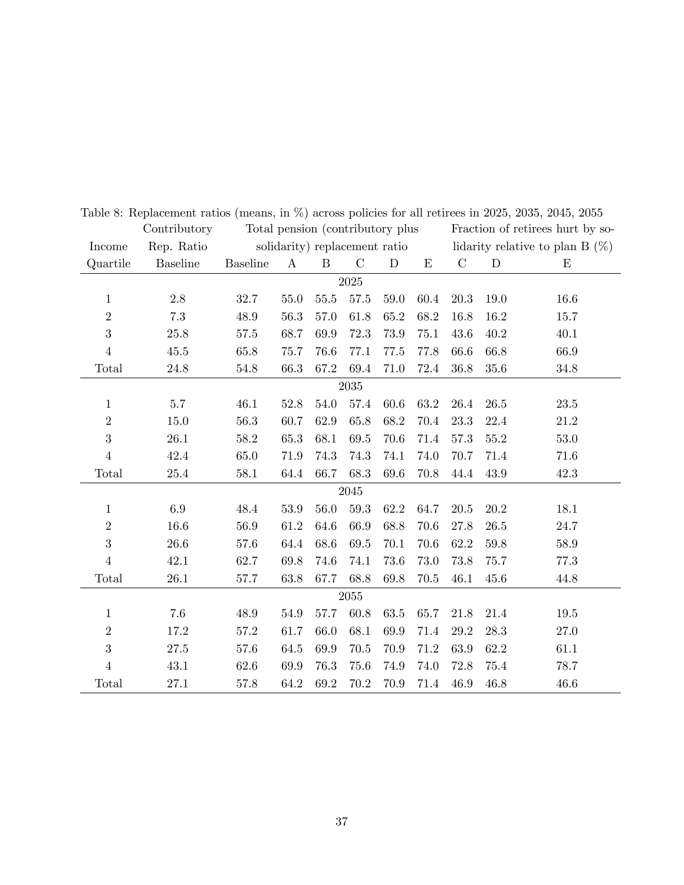|                  | Contributory    | Total pension (contributory plus) |          |                  |               |             | Fraction of retirees hurt by so- |               |                                    |          |
|------------------|-----------------|-----------------------------------|----------|------------------|---------------|-------------|----------------------------------|---------------|------------------------------------|----------|
| Income           | Rep. Ratio      | solidarity) replacement ratio     |          |                  |               |             |                                  |               | lidarity relative to plan B $(\%)$ |          |
| Quartile         | <b>Baseline</b> | <b>Baseline</b>                   | $\bf{A}$ | $\boldsymbol{B}$ | $\mathcal{C}$ | $\mathbf D$ | $\mathbf E$                      | $\mathcal{C}$ | $\mathbf D$                        | E        |
| 2025             |                 |                                   |          |                  |               |             |                                  |               |                                    |          |
| $\mathbf{1}$     | 2.8             | 32.7                              | 55.0     | 55.5             | 57.5          | 59.0        | 60.4                             | 20.3          | 19.0                               | 16.6     |
| $\sqrt{2}$       | 7.3             | 48.9                              | 56.3     | 57.0             | 61.8          | 65.2        | 68.2                             | 16.8          | 16.2                               | 15.7     |
| $\boldsymbol{3}$ | 25.8            | 57.5                              | 68.7     | 69.9             | 72.3          | 73.9        | 75.1                             | 43.6          | 40.2                               | 40.1     |
| $\,4\,$          | $45.5\,$        | 65.8                              | 75.7     | 76.6             | 77.1          | 77.5        | 77.8                             | 66.6          | 66.8                               | 66.9     |
| Total            | $24.8\,$        | 54.8                              | 66.3     | 67.2             | 69.4          | 71.0        | 72.4                             | 36.8          | 35.6                               | 34.8     |
| $2035\,$         |                 |                                   |          |                  |               |             |                                  |               |                                    |          |
| $\mathbf{1}$     | $5.7\,$         | 46.1                              | 52.8     | 54.0             | 57.4          | 60.6        | 63.2                             | 26.4          | 26.5                               | $23.5\,$ |
| $\sqrt{2}$       | 15.0            | 56.3                              | 60.7     | 62.9             | 65.8          | 68.2        | 70.4                             | 23.3          | 22.4                               | 21.2     |
| $\boldsymbol{3}$ | 26.1            | 58.2                              | 65.3     | 68.1             | 69.5          | 70.6        | 71.4                             | 57.3          | 55.2                               | 53.0     |
| $\,4\,$          | 42.4            | 65.0                              | 71.9     | 74.3             | 74.3          | 74.1        | 74.0                             | 70.7          | 71.4                               | 71.6     |
| Total            | $25.4\,$        | 58.1                              | 64.4     | 66.7             | 68.3          | 69.6        | 70.8                             | 44.4          | 43.9                               | 42.3     |
|                  |                 |                                   |          |                  | 2045          |             |                                  |               |                                    |          |
| $\mathbf{1}$     | 6.9             | 48.4                              | 53.9     | 56.0             | $59.3$        | 62.2        | 64.7                             | 20.5          | 20.2                               | 18.1     |
| $\sqrt{2}$       | 16.6            | 56.9                              | 61.2     | 64.6             | 66.9          | 68.8        | 70.6                             | 27.8          | 26.5                               | 24.7     |
| 3                | $26.6\,$        | $57.6\,$                          | 64.4     | 68.6             | $69.5\,$      | 70.1        | 70.6                             | 62.2          | $59.8\,$                           | $58.9\,$ |
| $\,4\,$          | 42.1            | 62.7                              | 69.8     | 74.6             | 74.1          | 73.6        | 73.0                             | 73.8          | 75.7                               | 77.3     |
| Total            | 26.1            | 57.7                              | 63.8     | 67.7             | 68.8          | 69.8        | 70.5                             | 46.1          | 45.6                               | 44.8     |
|                  | 2055            |                                   |          |                  |               |             |                                  |               |                                    |          |
| $\mathbf{1}$     | 7.6             | 48.9                              | 54.9     | 57.7             | 60.8          | 63.5        | 65.7                             | 21.8          | 21.4                               | 19.5     |
| $\sqrt{2}$       | 17.2            | 57.2                              | 61.7     | 66.0             | 68.1          | 69.9        | 71.4                             | 29.2          | 28.3                               | 27.0     |
| $\boldsymbol{3}$ | $27.5\,$        | 57.6                              | 64.5     | 69.9             | 70.5          | 70.9        | 71.2                             | 63.9          | 62.2                               | 61.1     |
| $\,4\,$          | 43.1            | 62.6                              | 69.9     | 76.3             | 75.6          | 74.9        | 74.0                             | 72.8          | 75.4                               | 78.7     |
| Total            | 27.1            | 57.8                              | 64.2     | 69.2             | 70.2          | 70.9        | 71.4                             | 46.9          | 46.8                               | 46.6     |

Table 8: Replacement ratios (means, in %) across policies for all retirees in 2025, 2035, 2045, 2055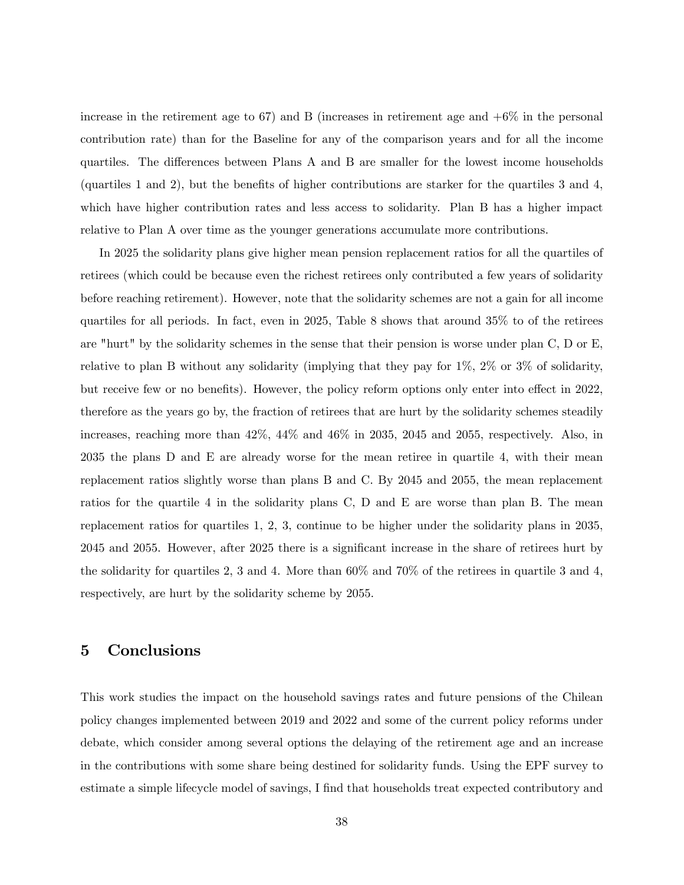increase in the retirement age to 67) and B (increases in retirement age and  $+6\%$  in the personal contribution rate) than for the Baseline for any of the comparison years and for all the income quartiles. The differences between Plans A and B are smaller for the lowest income households (quartiles 1 and 2), but the benefits of higher contributions are starker for the quartiles 3 and 4, which have higher contribution rates and less access to solidarity. Plan B has a higher impact relative to Plan A over time as the younger generations accumulate more contributions.

In 2025 the solidarity plans give higher mean pension replacement ratios for all the quartiles of retirees (which could be because even the richest retirees only contributed a few years of solidarity before reaching retirement). However, note that the solidarity schemes are not a gain for all income quartiles for all periods. In fact, even in 2025, Table 8 shows that around 35% to of the retirees are "hurt" by the solidarity schemes in the sense that their pension is worse under plan C, D or E, relative to plan B without any solidarity (implying that they pay for 1%, 2% or 3% of solidarity, but receive few or no benefits). However, the policy reform options only enter into effect in 2022, therefore as the years go by, the fraction of retirees that are hurt by the solidarity schemes steadily increases, reaching more than 42%, 44% and 46% in 2035, 2045 and 2055, respectively. Also, in 2035 the plans D and E are already worse for the mean retiree in quartile 4, with their mean replacement ratios slightly worse than plans B and C. By 2045 and 2055, the mean replacement ratios for the quartile 4 in the solidarity plans C, D and E are worse than plan B. The mean replacement ratios for quartiles 1, 2, 3, continue to be higher under the solidarity plans in 2035, 2045 and 2055. However, after 2025 there is a significant increase in the share of retirees hurt by the solidarity for quartiles 2, 3 and 4. More than 60% and 70% of the retirees in quartile 3 and 4, respectively, are hurt by the solidarity scheme by 2055.

## 5 Conclusions

This work studies the impact on the household savings rates and future pensions of the Chilean policy changes implemented between 2019 and 2022 and some of the current policy reforms under debate, which consider among several options the delaying of the retirement age and an increase in the contributions with some share being destined for solidarity funds. Using the EPF survey to estimate a simple lifecycle model of savings, I find that households treat expected contributory and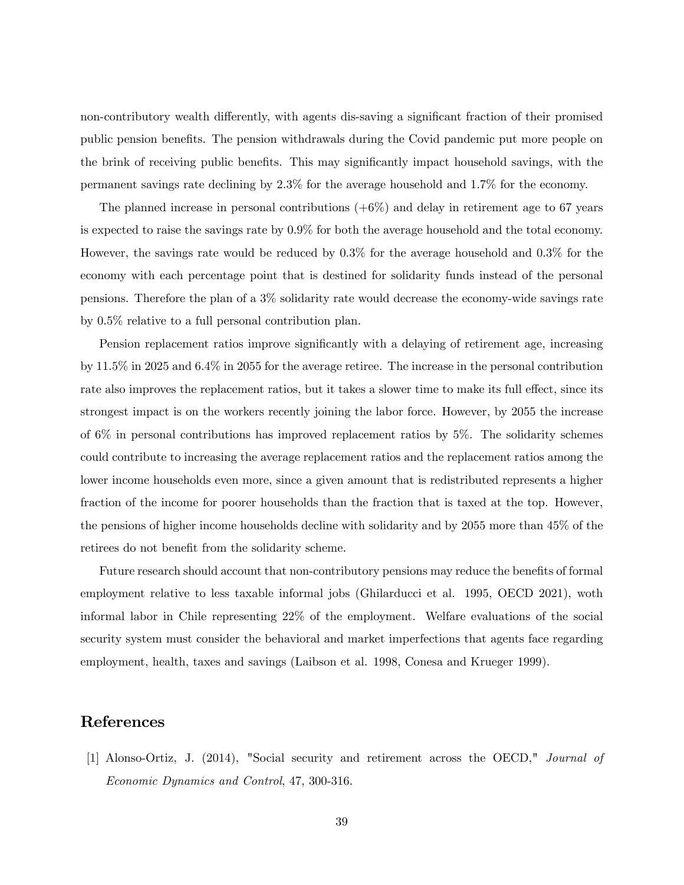non-contributory wealth differently, with agents dis-saving a significant fraction of their promised public pension benefits. The pension withdrawals during the Covid pandemic put more people on the brink of receiving public benefits. This may significantly impact household savings, with the permanent savings rate declining by 2.3% for the average household and 1.7% for the economy.

The planned increase in personal contributions  $(+6%)$  and delay in retirement age to 67 years is expected to raise the savings rate by 0.9% for both the average household and the total economy. However, the savings rate would be reduced by 0.3% for the average household and 0.3% for the economy with each percentage point that is destined for solidarity funds instead of the personal pensions. Therefore the plan of a 3% solidarity rate would decrease the economy-wide savings rate by 0.5% relative to a full personal contribution plan.

Pension replacement ratios improve significantly with a delaying of retirement age, increasing by 11.5% in 2025 and 6.4% in 2055 for the average retiree. The increase in the personal contribution rate also improves the replacement ratios, but it takes a slower time to make its full effect, since its strongest impact is on the workers recently joining the labor force. However, by 2055 the increase of 6% in personal contributions has improved replacement ratios by 5%. The solidarity schemes could contribute to increasing the average replacement ratios and the replacement ratios among the lower income households even more, since a given amount that is redistributed represents a higher fraction of the income for poorer households than the fraction that is taxed at the top. However, the pensions of higher income households decline with solidarity and by 2055 more than 45% of the retirees do not benefit from the solidarity scheme.

Future research should account that non-contributory pensions may reduce the benefits of formal employment relative to less taxable informal jobs (Ghilarducci et al. 1995, OECD 2021), woth informal labor in Chile representing 22% of the employment. Welfare evaluations of the social security system must consider the behavioral and market imperfections that agents face regarding employment, health, taxes and savings (Laibson et al. 1998, Conesa and Krueger 1999).

## References

[1] Alonso-Ortiz, J. (2014), "Social security and retirement across the OECD," Journal of Economic Dynamics and Control, 47, 300-316.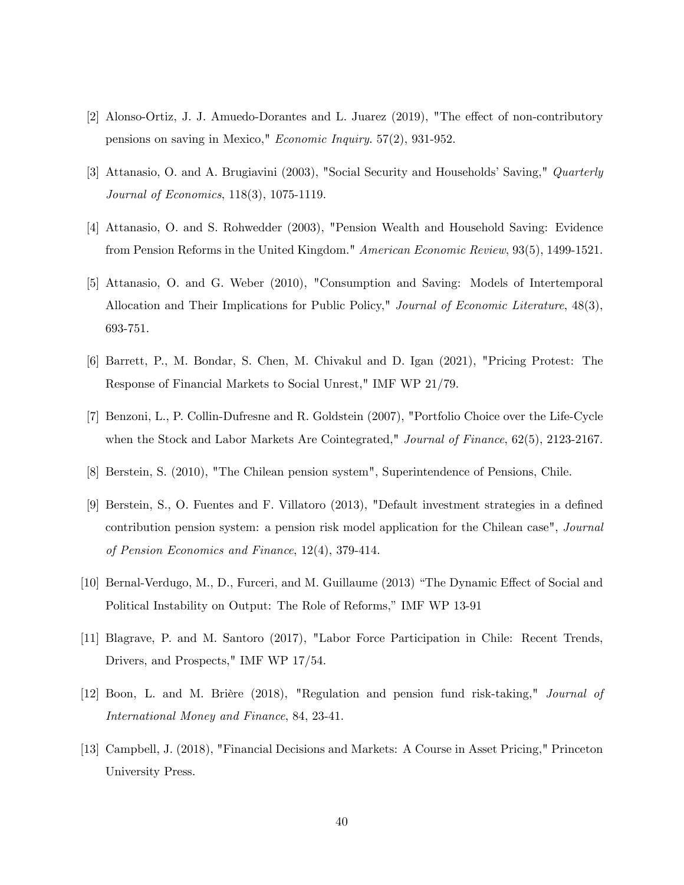- [2] Alonso-Ortiz, J. J. Amuedo-Dorantes and L. Juarez (2019), "The effect of non-contributory pensions on saving in Mexico," Economic Inquiry. 57(2), 931-952.
- [3] Attanasio, O. and A. Brugiavini (2003), "Social Security and Households' Saving," Quarterly Journal of Economics, 118(3), 1075-1119.
- [4] Attanasio, O. and S. Rohwedder (2003), "Pension Wealth and Household Saving: Evidence from Pension Reforms in the United Kingdom." American Economic Review, 93(5), 1499-1521.
- [5] Attanasio, O. and G. Weber (2010), "Consumption and Saving: Models of Intertemporal Allocation and Their Implications for Public Policy," Journal of Economic Literature, 48(3), 693-751.
- [6] Barrett, P., M. Bondar, S. Chen, M. Chivakul and D. Igan (2021), "Pricing Protest: The Response of Financial Markets to Social Unrest," IMF WP 21/79.
- [7] Benzoni, L., P. Collin-Dufresne and R. Goldstein (2007), "Portfolio Choice over the Life-Cycle when the Stock and Labor Markets Are Cointegrated," Journal of Finance, 62(5), 2123-2167.
- [8] Berstein, S. (2010), "The Chilean pension system", Superintendence of Pensions, Chile.
- [9] Berstein, S., O. Fuentes and F. Villatoro (2013), "Default investment strategies in a deÖned contribution pension system: a pension risk model application for the Chilean case", Journal of Pension Economics and Finance, 12(4), 379-414.
- [10] Bernal-Verdugo, M., D., Furceri, and M. Guillaume (2013) "The Dynamic Effect of Social and Political Instability on Output: The Role of Reforms," IMF WP 13-91
- [11] Blagrave, P. and M. Santoro (2017), "Labor Force Participation in Chile: Recent Trends, Drivers, and Prospects," IMF WP 17/54.
- [12] Boon, L. and M. Brière (2018), "Regulation and pension fund risk-taking," *Journal of* International Money and Finance, 84, 23-41.
- [13] Campbell, J. (2018), "Financial Decisions and Markets: A Course in Asset Pricing," Princeton University Press.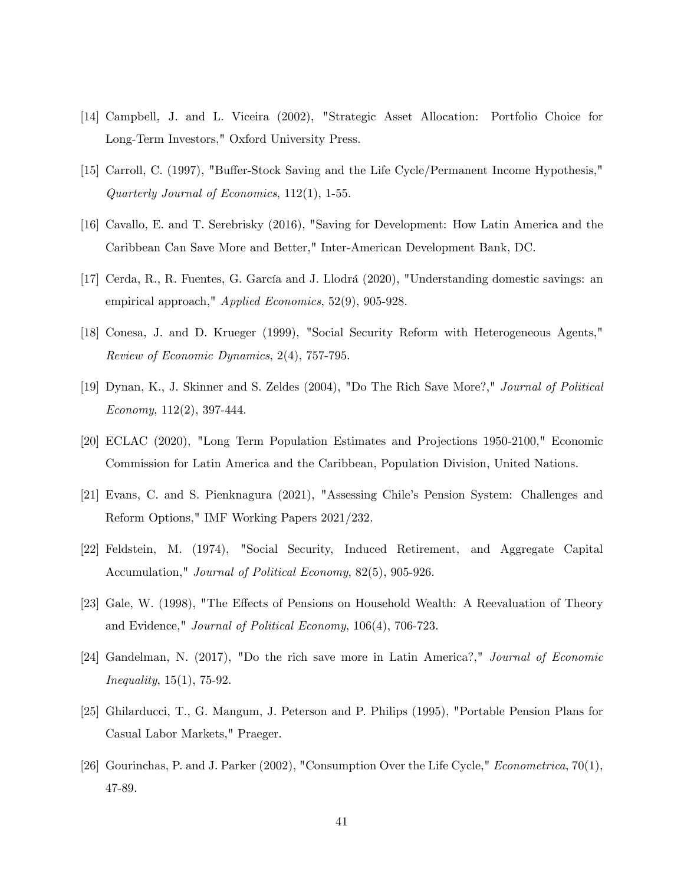- [14] Campbell, J. and L. Viceira (2002), "Strategic Asset Allocation: Portfolio Choice for Long-Term Investors," Oxford University Press.
- [15] Carroll, C. (1997), "Buffer-Stock Saving and the Life Cycle/Permanent Income Hypothesis," Quarterly Journal of Economics, 112(1), 1-55.
- [16] Cavallo, E. and T. Serebrisky (2016), "Saving for Development: How Latin America and the Caribbean Can Save More and Better," Inter-American Development Bank, DC.
- [17] Cerda, R., R. Fuentes, G. García and J. Llodrá (2020), "Understanding domestic savings: an empirical approach," Applied Economics, 52(9), 905-928.
- [18] Conesa, J. and D. Krueger (1999), "Social Security Reform with Heterogeneous Agents," Review of Economic Dynamics, 2(4), 757-795.
- [19] Dynan, K., J. Skinner and S. Zeldes (2004), "Do The Rich Save More?," Journal of Political Economy, 112(2), 397-444.
- [20] ECLAC (2020), "Long Term Population Estimates and Projections 1950-2100," Economic Commission for Latin America and the Caribbean, Population Division, United Nations.
- [21] Evans, C. and S. Pienknagura (2021), "Assessing Chileís Pension System: Challenges and Reform Options," IMF Working Papers 2021/232.
- [22] Feldstein, M. (1974), "Social Security, Induced Retirement, and Aggregate Capital Accumulation," Journal of Political Economy, 82(5), 905-926.
- [23] Gale, W. (1998), "The Effects of Pensions on Household Wealth: A Reevaluation of Theory and Evidence," Journal of Political Economy, 106(4), 706-723.
- [24] Gandelman, N. (2017), "Do the rich save more in Latin America?," Journal of Economic *Inequality*,  $15(1)$ ,  $75-92$ .
- [25] Ghilarducci, T., G. Mangum, J. Peterson and P. Philips (1995), "Portable Pension Plans for Casual Labor Markets," Praeger.
- [26] Gourinchas, P. and J. Parker (2002), "Consumption Over the Life Cycle," Econometrica, 70(1), 47-89.